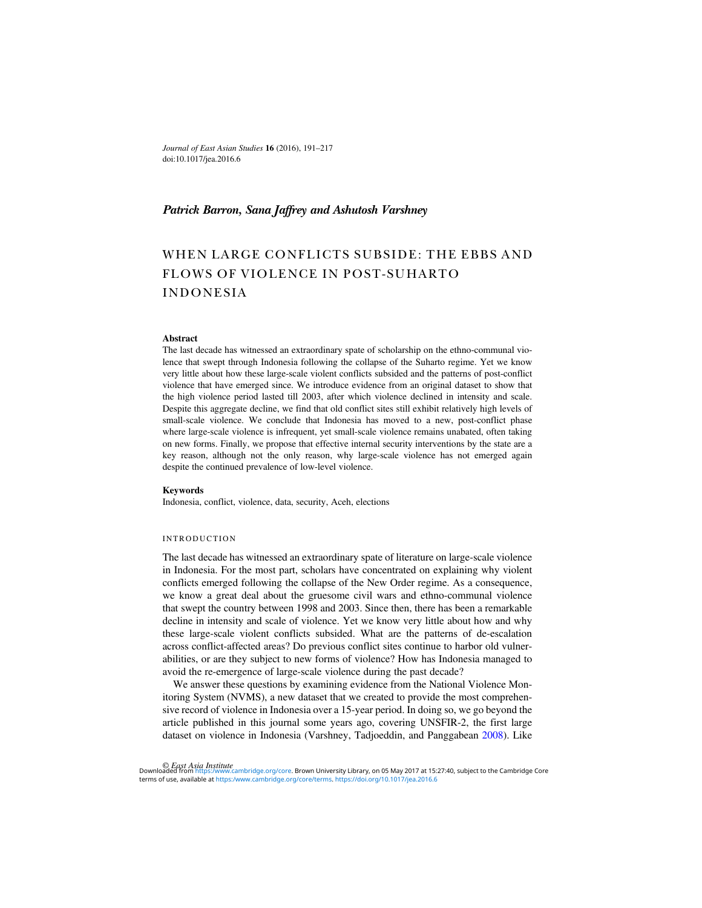Journal of East Asian Studies 16 (2016), 191–217 doi:10.1017/jea.2016.6

# Patrick Barron, Sana Jaffrey and Ashutosh Varshney

# WHEN LARGE CONFLICTS SUBSIDE: THE EBBS AND FLOWS OF VIOLENCE IN POST-SUHARTO INDONESIA

#### Abstract

The last decade has witnessed an extraordinary spate of scholarship on the ethno-communal violence that swept through Indonesia following the collapse of the Suharto regime. Yet we know very little about how these large-scale violent conflicts subsided and the patterns of post-conflict violence that have emerged since. We introduce evidence from an original dataset to show that the high violence period lasted till 2003, after which violence declined in intensity and scale. Despite this aggregate decline, we find that old conflict sites still exhibit relatively high levels of small-scale violence. We conclude that Indonesia has moved to a new, post-conflict phase where large-scale violence is infrequent, yet small-scale violence remains unabated, often taking on new forms. Finally, we propose that effective internal security interventions by the state are a key reason, although not the only reason, why large-scale violence has not emerged again despite the continued prevalence of low-level violence.

#### Keywords

Indonesia, conflict, violence, data, security, Aceh, elections

#### INTRODUCTION

The last decade has witnessed an extraordinary spate of literature on large-scale violence in Indonesia. For the most part, scholars have concentrated on explaining why violent conflicts emerged following the collapse of the New Order regime. As a consequence, we know a great deal about the gruesome civil wars and ethno-communal violence that swept the country between 1998 and 2003. Since then, there has been a remarkable decline in intensity and scale of violence. Yet we know very little about how and why these large-scale violent conflicts subsided. What are the patterns of de-escalation across conflict-affected areas? Do previous conflict sites continue to harbor old vulnerabilities, or are they subject to new forms of violence? How has Indonesia managed to avoid the re-emergence of large-scale violence during the past decade?

We answer these questions by examining evidence from the National Violence Monitoring System (NVMS), a new dataset that we created to provide the most comprehensive record of violence in Indonesia over a 15-year period. In doing so, we go beyond the article published in this journal some years ago, covering UNSFIR-2, the first large dataset on violence in Indonesia (Varshney, Tadjoeddin, and Panggabean 2008). Like

<sup>@</sup> *East Asia Institute*<br>Downloaded from https:/www.cambridge.org/core. Brown University Library, on 05 May 2017 at 15:27:40, subject to the Cambridge Core terms of use, available at https:/www.cambridge.org/core/terms. https://doi.org/10.1017/jea.2016.6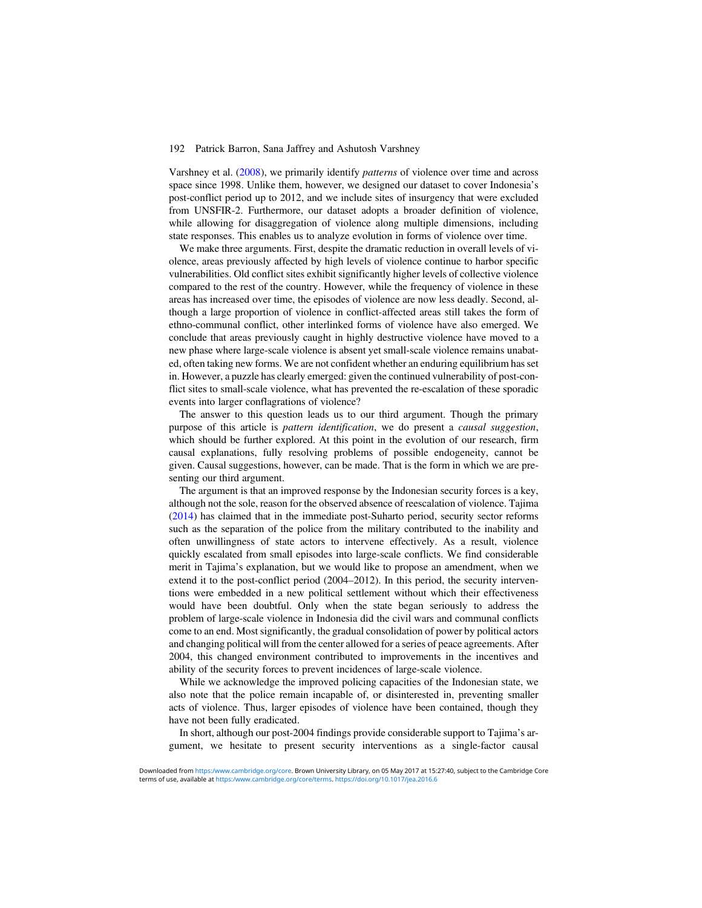Varshney et al. (2008), we primarily identify patterns of violence over time and across space since 1998. Unlike them, however, we designed our dataset to cover Indonesia's post-conflict period up to 2012, and we include sites of insurgency that were excluded from UNSFIR-2. Furthermore, our dataset adopts a broader definition of violence, while allowing for disaggregation of violence along multiple dimensions, including state responses. This enables us to analyze evolution in forms of violence over time.

We make three arguments. First, despite the dramatic reduction in overall levels of violence, areas previously affected by high levels of violence continue to harbor specific vulnerabilities. Old conflict sites exhibit significantly higher levels of collective violence compared to the rest of the country. However, while the frequency of violence in these areas has increased over time, the episodes of violence are now less deadly. Second, although a large proportion of violence in conflict-affected areas still takes the form of ethno-communal conflict, other interlinked forms of violence have also emerged. We conclude that areas previously caught in highly destructive violence have moved to a new phase where large-scale violence is absent yet small-scale violence remains unabated, often taking new forms. We are not confident whether an enduring equilibrium has set in. However, a puzzle has clearly emerged: given the continued vulnerability of post-conflict sites to small-scale violence, what has prevented the re-escalation of these sporadic events into larger conflagrations of violence?

The answer to this question leads us to our third argument. Though the primary purpose of this article is *pattern identification*, we do present a *causal suggestion*, which should be further explored. At this point in the evolution of our research, firm causal explanations, fully resolving problems of possible endogeneity, cannot be given. Causal suggestions, however, can be made. That is the form in which we are presenting our third argument.

The argument is that an improved response by the Indonesian security forces is a key, although not the sole, reason for the observed absence of reescalation of violence. Tajima (2014) has claimed that in the immediate post-Suharto period, security sector reforms such as the separation of the police from the military contributed to the inability and often unwillingness of state actors to intervene effectively. As a result, violence quickly escalated from small episodes into large-scale conflicts. We find considerable merit in Tajima's explanation, but we would like to propose an amendment, when we extend it to the post-conflict period (2004–2012). In this period, the security interventions were embedded in a new political settlement without which their effectiveness would have been doubtful. Only when the state began seriously to address the problem of large-scale violence in Indonesia did the civil wars and communal conflicts come to an end. Most significantly, the gradual consolidation of power by political actors and changing political will from the center allowed for a series of peace agreements. After 2004, this changed environment contributed to improvements in the incentives and ability of the security forces to prevent incidences of large-scale violence.

While we acknowledge the improved policing capacities of the Indonesian state, we also note that the police remain incapable of, or disinterested in, preventing smaller acts of violence. Thus, larger episodes of violence have been contained, though they have not been fully eradicated.

In short, although our post-2004 findings provide considerable support to Tajima's argument, we hesitate to present security interventions as a single-factor causal

terms of use, available at https:/www.cambridge.org/core/terms. https://doi.org/10.1017/jea.2016.6 Downloaded from https:/www.cambridge.org/core. Brown University Library, on 05 May 2017 at 15:27:40, subject to the Cambridge Core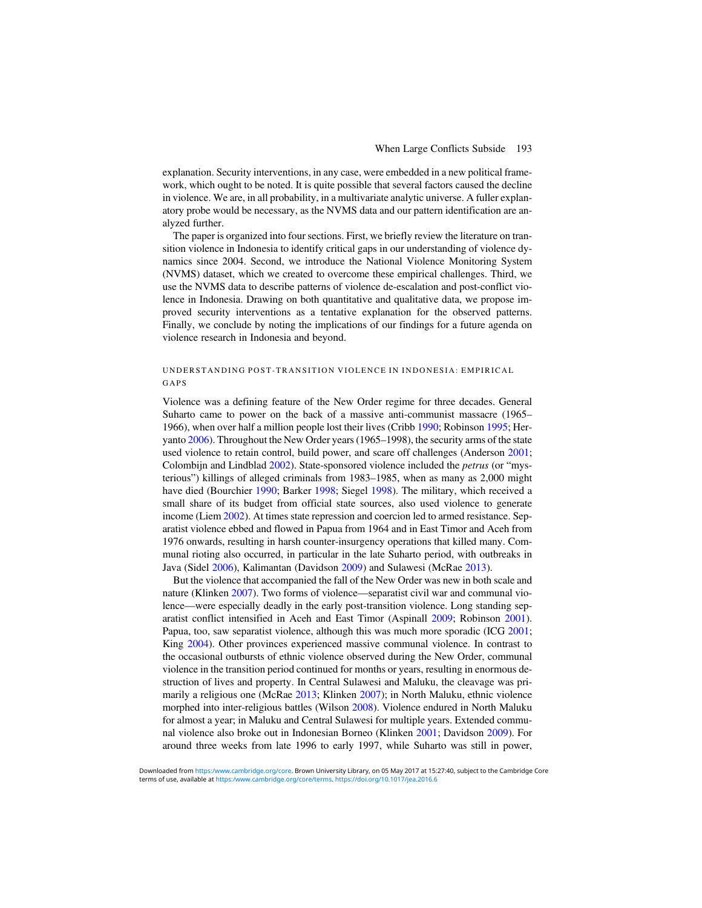explanation. Security interventions, in any case, were embedded in a new political framework, which ought to be noted. It is quite possible that several factors caused the decline in violence. We are, in all probability, in a multivariate analytic universe. A fuller explanatory probe would be necessary, as the NVMS data and our pattern identification are analyzed further.

The paper is organized into four sections. First, we briefly review the literature on transition violence in Indonesia to identify critical gaps in our understanding of violence dynamics since 2004. Second, we introduce the National Violence Monitoring System (NVMS) dataset, which we created to overcome these empirical challenges. Third, we use the NVMS data to describe patterns of violence de-escalation and post-conflict violence in Indonesia. Drawing on both quantitative and qualitative data, we propose improved security interventions as a tentative explanation for the observed patterns. Finally, we conclude by noting the implications of our findings for a future agenda on violence research in Indonesia and beyond.

# UNDERSTANDING POST-TRANSITION VIOLENCE IN INDONESIA: EMPIRICAL GAPS

Violence was a defining feature of the New Order regime for three decades. General Suharto came to power on the back of a massive anti-communist massacre (1965– 1966), when over half a million people lost their lives (Cribb 1990; Robinson 1995; Heryanto 2006). Throughout the New Order years (1965–1998), the security arms of the state used violence to retain control, build power, and scare off challenges (Anderson 2001; Colombijn and Lindblad 2002). State-sponsored violence included the petrus (or "mysterious") killings of alleged criminals from 1983–1985, when as many as 2,000 might have died (Bourchier 1990; Barker 1998; Siegel 1998). The military, which received a small share of its budget from official state sources, also used violence to generate income (Liem 2002). At times state repression and coercion led to armed resistance. Separatist violence ebbed and flowed in Papua from 1964 and in East Timor and Aceh from 1976 onwards, resulting in harsh counter-insurgency operations that killed many. Communal rioting also occurred, in particular in the late Suharto period, with outbreaks in Java (Sidel 2006), Kalimantan (Davidson 2009) and Sulawesi (McRae 2013).

But the violence that accompanied the fall of the New Order was new in both scale and nature (Klinken 2007). Two forms of violence—separatist civil war and communal violence—were especially deadly in the early post-transition violence. Long standing separatist conflict intensified in Aceh and East Timor (Aspinall 2009; Robinson 2001). Papua, too, saw separatist violence, although this was much more sporadic (ICG 2001; King 2004). Other provinces experienced massive communal violence. In contrast to the occasional outbursts of ethnic violence observed during the New Order, communal violence in the transition period continued for months or years, resulting in enormous destruction of lives and property. In Central Sulawesi and Maluku, the cleavage was primarily a religious one (McRae 2013; Klinken 2007); in North Maluku, ethnic violence morphed into inter-religious battles (Wilson 2008). Violence endured in North Maluku for almost a year; in Maluku and Central Sulawesi for multiple years. Extended communal violence also broke out in Indonesian Borneo (Klinken 2001; Davidson 2009). For around three weeks from late 1996 to early 1997, while Suharto was still in power,

terms of use, available at https:/www.cambridge.org/core/terms. https://doi.org/10.1017/jea.2016.6 Downloaded from https:/www.cambridge.org/core. Brown University Library, on 05 May 2017 at 15:27:40, subject to the Cambridge Core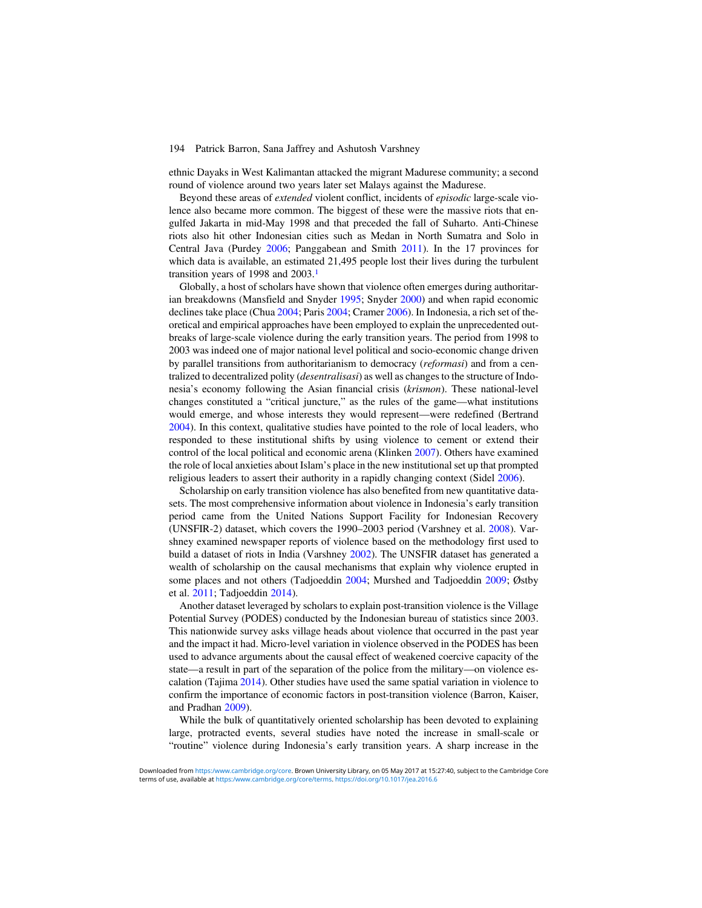ethnic Dayaks in West Kalimantan attacked the migrant Madurese community; a second round of violence around two years later set Malays against the Madurese.

Beyond these areas of *extended* violent conflict, incidents of *episodic* large-scale violence also became more common. The biggest of these were the massive riots that engulfed Jakarta in mid-May 1998 and that preceded the fall of Suharto. Anti-Chinese riots also hit other Indonesian cities such as Medan in North Sumatra and Solo in Central Java (Purdey 2006; Panggabean and Smith 2011). In the 17 provinces for which data is available, an estimated 21,495 people lost their lives during the turbulent transition years of 1998 and 2003.<sup>1</sup>

Globally, a host of scholars have shown that violence often emerges during authoritarian breakdowns (Mansfield and Snyder 1995; Snyder 2000) and when rapid economic declines take place (Chua 2004; Paris 2004; Cramer 2006). In Indonesia, a rich set of theoretical and empirical approaches have been employed to explain the unprecedented outbreaks of large-scale violence during the early transition years. The period from 1998 to 2003 was indeed one of major national level political and socio-economic change driven by parallel transitions from authoritarianism to democracy (*reformasi*) and from a centralized to decentralized polity (desentralisasi) as well as changes to the structure of Indonesia's economy following the Asian financial crisis (krismon). These national-level changes constituted a "critical juncture," as the rules of the game—what institutions would emerge, and whose interests they would represent—were redefined (Bertrand 2004). In this context, qualitative studies have pointed to the role of local leaders, who responded to these institutional shifts by using violence to cement or extend their control of the local political and economic arena (Klinken 2007). Others have examined the role of local anxieties about Islam's place in the new institutional set up that prompted religious leaders to assert their authority in a rapidly changing context (Sidel 2006).

Scholarship on early transition violence has also benefited from new quantitative datasets. The most comprehensive information about violence in Indonesia's early transition period came from the United Nations Support Facility for Indonesian Recovery (UNSFIR-2) dataset, which covers the 1990–2003 period (Varshney et al. 2008). Varshney examined newspaper reports of violence based on the methodology first used to build a dataset of riots in India (Varshney 2002). The UNSFIR dataset has generated a wealth of scholarship on the causal mechanisms that explain why violence erupted in some places and not others (Tadjoeddin 2004; Murshed and Tadjoeddin 2009; Østby et al. 2011; Tadjoeddin 2014).

Another dataset leveraged by scholars to explain post-transition violence is the Village Potential Survey (PODES) conducted by the Indonesian bureau of statistics since 2003. This nationwide survey asks village heads about violence that occurred in the past year and the impact it had. Micro-level variation in violence observed in the PODES has been used to advance arguments about the causal effect of weakened coercive capacity of the state—a result in part of the separation of the police from the military—on violence escalation (Tajima 2014). Other studies have used the same spatial variation in violence to confirm the importance of economic factors in post-transition violence (Barron, Kaiser, and Pradhan 2009).

While the bulk of quantitatively oriented scholarship has been devoted to explaining large, protracted events, several studies have noted the increase in small-scale or "routine" violence during Indonesia's early transition years. A sharp increase in the

terms of use, available at https:/www.cambridge.org/core/terms. https://doi.org/10.1017/jea.2016.6 Downloaded from https:/www.cambridge.org/core. Brown University Library, on 05 May 2017 at 15:27:40, subject to the Cambridge Core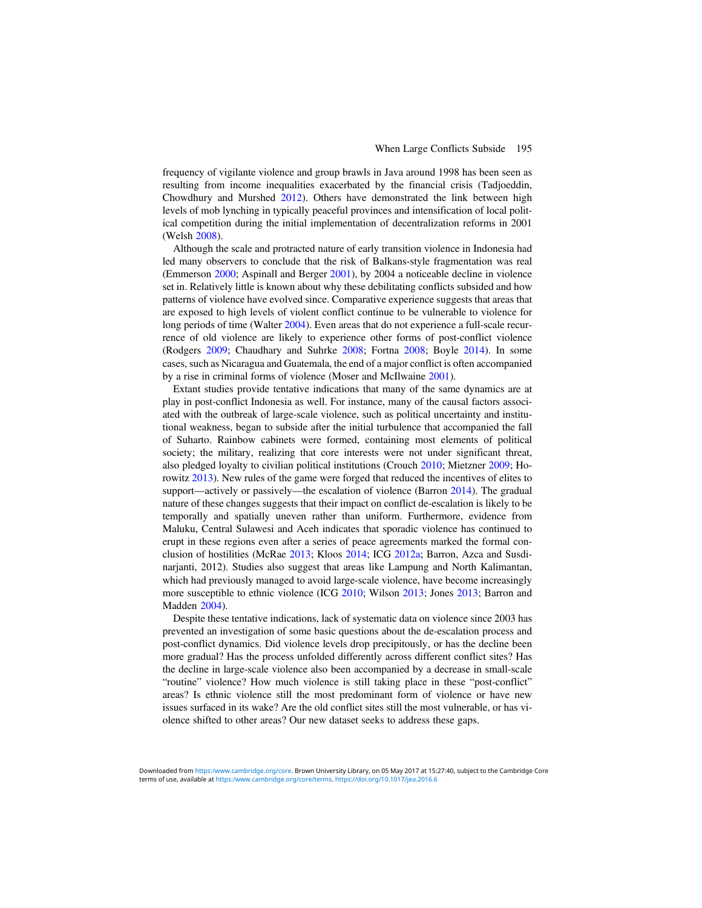frequency of vigilante violence and group brawls in Java around 1998 has been seen as resulting from income inequalities exacerbated by the financial crisis (Tadjoeddin, Chowdhury and Murshed 2012). Others have demonstrated the link between high levels of mob lynching in typically peaceful provinces and intensification of local political competition during the initial implementation of decentralization reforms in 2001 (Welsh 2008).

Although the scale and protracted nature of early transition violence in Indonesia had led many observers to conclude that the risk of Balkans-style fragmentation was real (Emmerson 2000; Aspinall and Berger 2001), by 2004 a noticeable decline in violence set in. Relatively little is known about why these debilitating conflicts subsided and how patterns of violence have evolved since. Comparative experience suggests that areas that are exposed to high levels of violent conflict continue to be vulnerable to violence for long periods of time (Walter 2004). Even areas that do not experience a full-scale recurrence of old violence are likely to experience other forms of post-conflict violence (Rodgers 2009; Chaudhary and Suhrke 2008; Fortna 2008; Boyle 2014). In some cases, such as Nicaragua and Guatemala, the end of a major conflict is often accompanied by a rise in criminal forms of violence (Moser and McIlwaine 2001).

Extant studies provide tentative indications that many of the same dynamics are at play in post-conflict Indonesia as well. For instance, many of the causal factors associated with the outbreak of large-scale violence, such as political uncertainty and institutional weakness, began to subside after the initial turbulence that accompanied the fall of Suharto. Rainbow cabinets were formed, containing most elements of political society; the military, realizing that core interests were not under significant threat, also pledged loyalty to civilian political institutions (Crouch 2010; Mietzner 2009; Horowitz 2013). New rules of the game were forged that reduced the incentives of elites to support—actively or passively—the escalation of violence (Barron 2014). The gradual nature of these changes suggests that their impact on conflict de-escalation is likely to be temporally and spatially uneven rather than uniform. Furthermore, evidence from Maluku, Central Sulawesi and Aceh indicates that sporadic violence has continued to erupt in these regions even after a series of peace agreements marked the formal conclusion of hostilities (McRae 2013; Kloos 2014; ICG 2012a; Barron, Azca and Susdinarjanti, 2012). Studies also suggest that areas like Lampung and North Kalimantan, which had previously managed to avoid large-scale violence, have become increasingly more susceptible to ethnic violence (ICG 2010; Wilson 2013; Jones 2013; Barron and Madden 2004).

Despite these tentative indications, lack of systematic data on violence since 2003 has prevented an investigation of some basic questions about the de-escalation process and post-conflict dynamics. Did violence levels drop precipitously, or has the decline been more gradual? Has the process unfolded differently across different conflict sites? Has the decline in large-scale violence also been accompanied by a decrease in small-scale "routine" violence? How much violence is still taking place in these "post-conflict" areas? Is ethnic violence still the most predominant form of violence or have new issues surfaced in its wake? Are the old conflict sites still the most vulnerable, or has violence shifted to other areas? Our new dataset seeks to address these gaps.

terms of use, available at https:/www.cambridge.org/core/terms. https://doi.org/10.1017/jea.2016.6 Downloaded from https:/www.cambridge.org/core. Brown University Library, on 05 May 2017 at 15:27:40, subject to the Cambridge Core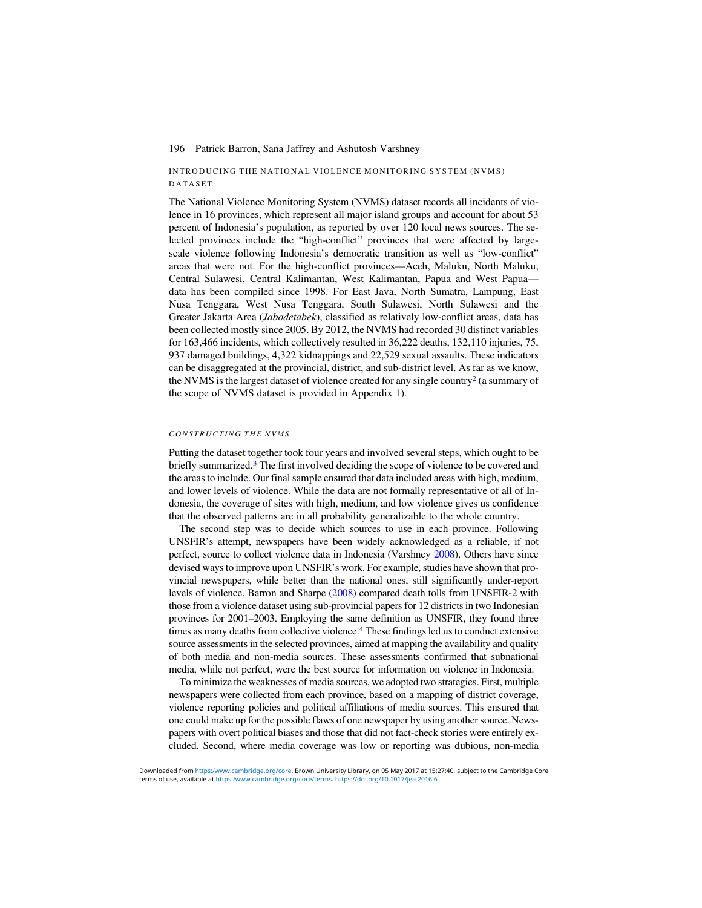# INTRODUCING THE NATIONAL VIOLENCE MONITORING SYSTEM (NVMS) DATASET

The National Violence Monitoring System (NVMS) dataset records all incidents of violence in 16 provinces, which represent all major island groups and account for about 53 percent of Indonesia's population, as reported by over 120 local news sources. The selected provinces include the "high-conflict" provinces that were affected by largescale violence following Indonesia's democratic transition as well as "low-conflict" areas that were not. For the high-conflict provinces—Aceh, Maluku, North Maluku, Central Sulawesi, Central Kalimantan, West Kalimantan, Papua and West Papua data has been compiled since 1998. For East Java, North Sumatra, Lampung, East Nusa Tenggara, West Nusa Tenggara, South Sulawesi, North Sulawesi and the Greater Jakarta Area (Jabodetabek), classified as relatively low-conflict areas, data has been collected mostly since 2005. By 2012, the NVMS had recorded 30 distinct variables for 163,466 incidents, which collectively resulted in 36,222 deaths, 132,110 injuries, 75, 937 damaged buildings, 4,322 kidnappings and 22,529 sexual assaults. These indicators can be disaggregated at the provincial, district, and sub-district level. As far as we know, the NVMS is the largest dataset of violence created for any single country<sup>2</sup> (a summary of the scope of NVMS dataset is provided in Appendix 1).

# CONSTRUCTING THE NVMS

Putting the dataset together took four years and involved several steps, which ought to be briefly summarized.<sup>3</sup> The first involved deciding the scope of violence to be covered and the areas to include. Our final sample ensured that data included areas with high, medium, and lower levels of violence. While the data are not formally representative of all of Indonesia, the coverage of sites with high, medium, and low violence gives us confidence that the observed patterns are in all probability generalizable to the whole country.

The second step was to decide which sources to use in each province. Following UNSFIR's attempt, newspapers have been widely acknowledged as a reliable, if not perfect, source to collect violence data in Indonesia (Varshney 2008). Others have since devised ways to improve upon UNSFIR's work. For example, studies have shown that provincial newspapers, while better than the national ones, still significantly under-report levels of violence. Barron and Sharpe (2008) compared death tolls from UNSFIR-2 with those from a violence dataset using sub-provincial papers for 12 districts in two Indonesian provinces for 2001–2003. Employing the same definition as UNSFIR, they found three times as many deaths from collective violence.4 These findings led us to conduct extensive source assessments in the selected provinces, aimed at mapping the availability and quality of both media and non-media sources. These assessments confirmed that subnational media, while not perfect, were the best source for information on violence in Indonesia.

To minimize the weaknesses of media sources, we adopted two strategies. First, multiple newspapers were collected from each province, based on a mapping of district coverage, violence reporting policies and political affiliations of media sources. This ensured that one could make up for the possible flaws of one newspaper by using another source. Newspapers with overt political biases and those that did not fact-check stories were entirely excluded. Second, where media coverage was low or reporting was dubious, non-media

terms of use, available at https:/www.cambridge.org/core/terms. https://doi.org/10.1017/jea.2016.6 Downloaded from https:/www.cambridge.org/core. Brown University Library, on 05 May 2017 at 15:27:40, subject to the Cambridge Core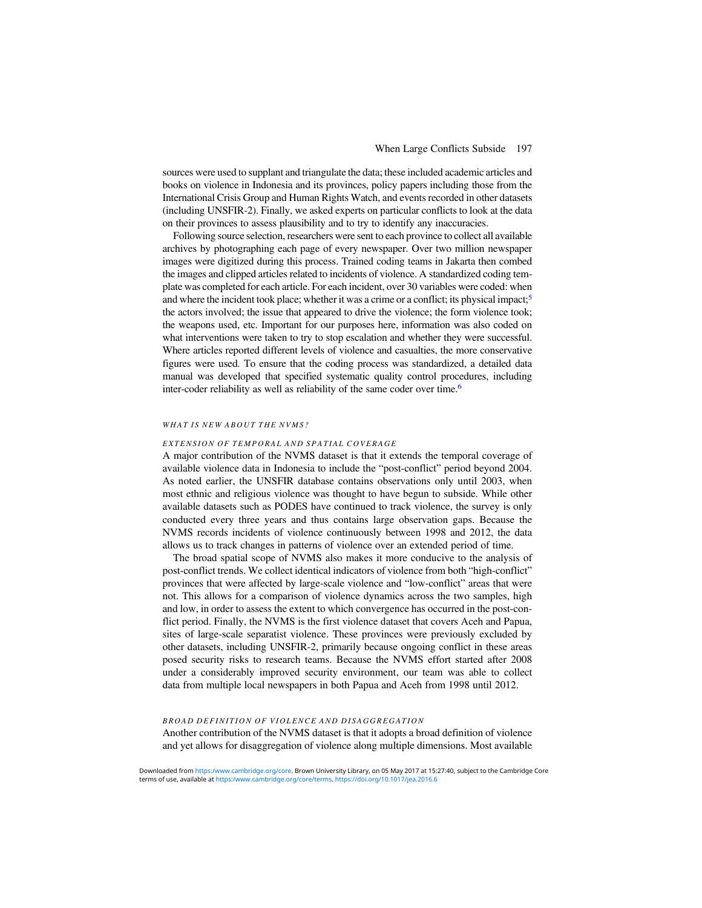sources were used to supplant and triangulate the data; these included academic articles and books on violence in Indonesia and its provinces, policy papers including those from the International Crisis Group and Human Rights Watch, and events recorded in other datasets (including UNSFIR-2). Finally, we asked experts on particular conflicts to look at the data on their provinces to assess plausibility and to try to identify any inaccuracies.

Following source selection, researchers were sent to each province to collect all available archives by photographing each page of every newspaper. Over two million newspaper images were digitized during this process. Trained coding teams in Jakarta then combed the images and clipped articles related to incidents of violence. A standardized coding template was completed for each article. For each incident, over 30 variables were coded: when and where the incident took place; whether it was a crime or a conflict; its physical impact;<sup>5</sup> the actors involved; the issue that appeared to drive the violence; the form violence took; the weapons used, etc. Important for our purposes here, information was also coded on what interventions were taken to try to stop escalation and whether they were successful. Where articles reported different levels of violence and casualties, the more conservative figures were used. To ensure that the coding process was standardized, a detailed data manual was developed that specified systematic quality control procedures, including inter-coder reliability as well as reliability of the same coder over time.<sup>6</sup>

#### WHAT IS NEW ABOUT THE NVMS?

# EXTENSION OF TEMPORAL AND SPATIAL COVERAGE

A major contribution of the NVMS dataset is that it extends the temporal coverage of available violence data in Indonesia to include the "post-conflict" period beyond 2004. As noted earlier, the UNSFIR database contains observations only until 2003, when most ethnic and religious violence was thought to have begun to subside. While other available datasets such as PODES have continued to track violence, the survey is only conducted every three years and thus contains large observation gaps. Because the NVMS records incidents of violence continuously between 1998 and 2012, the data allows us to track changes in patterns of violence over an extended period of time.

The broad spatial scope of NVMS also makes it more conducive to the analysis of post-conflict trends. We collect identical indicators of violence from both "high-conflict" provinces that were affected by large-scale violence and "low-conflict" areas that were not. This allows for a comparison of violence dynamics across the two samples, high and low, in order to assess the extent to which convergence has occurred in the post-conflict period. Finally, the NVMS is the first violence dataset that covers Aceh and Papua, sites of large-scale separatist violence. These provinces were previously excluded by other datasets, including UNSFIR-2, primarily because ongoing conflict in these areas posed security risks to research teams. Because the NVMS effort started after 2008 under a considerably improved security environment, our team was able to collect data from multiple local newspapers in both Papua and Aceh from 1998 until 2012.

BROAD DEFINITION OF VIOLENCE AND DISAGGREGATION

Another contribution of the NVMS dataset is that it adopts a broad definition of violence and yet allows for disaggregation of violence along multiple dimensions. Most available

terms of use, available at https:/www.cambridge.org/core/terms. https://doi.org/10.1017/jea.2016.6 Downloaded from https:/www.cambridge.org/core. Brown University Library, on 05 May 2017 at 15:27:40, subject to the Cambridge Core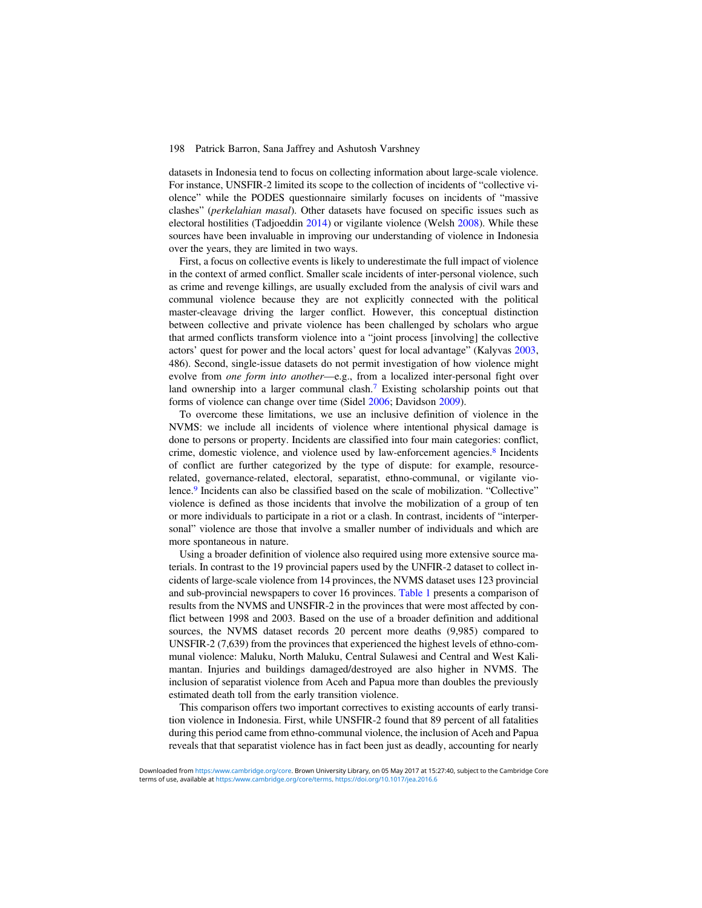datasets in Indonesia tend to focus on collecting information about large-scale violence. For instance, UNSFIR-2 limited its scope to the collection of incidents of "collective violence" while the PODES questionnaire similarly focuses on incidents of "massive clashes" (perkelahian masal). Other datasets have focused on specific issues such as electoral hostilities (Tadjoeddin 2014) or vigilante violence (Welsh 2008). While these sources have been invaluable in improving our understanding of violence in Indonesia over the years, they are limited in two ways.

First, a focus on collective events is likely to underestimate the full impact of violence in the context of armed conflict. Smaller scale incidents of inter-personal violence, such as crime and revenge killings, are usually excluded from the analysis of civil wars and communal violence because they are not explicitly connected with the political master-cleavage driving the larger conflict. However, this conceptual distinction between collective and private violence has been challenged by scholars who argue that armed conflicts transform violence into a "joint process [involving] the collective actors' quest for power and the local actors' quest for local advantage" (Kalyvas 2003, 486). Second, single-issue datasets do not permit investigation of how violence might evolve from one form into another-e.g., from a localized inter-personal fight over land ownership into a larger communal clash.7 Existing scholarship points out that forms of violence can change over time (Sidel 2006; Davidson 2009).

To overcome these limitations, we use an inclusive definition of violence in the NVMS: we include all incidents of violence where intentional physical damage is done to persons or property. Incidents are classified into four main categories: conflict, crime, domestic violence, and violence used by law-enforcement agencies.<sup>8</sup> Incidents of conflict are further categorized by the type of dispute: for example, resourcerelated, governance-related, electoral, separatist, ethno-communal, or vigilante violence.<sup>9</sup> Incidents can also be classified based on the scale of mobilization. "Collective" violence is defined as those incidents that involve the mobilization of a group of ten or more individuals to participate in a riot or a clash. In contrast, incidents of "interpersonal" violence are those that involve a smaller number of individuals and which are more spontaneous in nature.

Using a broader definition of violence also required using more extensive source materials. In contrast to the 19 provincial papers used by the UNFIR-2 dataset to collect incidents of large-scale violence from 14 provinces, the NVMS dataset uses 123 provincial and sub-provincial newspapers to cover 16 provinces. Table 1 presents a comparison of results from the NVMS and UNSFIR-2 in the provinces that were most affected by conflict between 1998 and 2003. Based on the use of a broader definition and additional sources, the NVMS dataset records 20 percent more deaths (9,985) compared to UNSFIR-2 (7,639) from the provinces that experienced the highest levels of ethno-communal violence: Maluku, North Maluku, Central Sulawesi and Central and West Kalimantan. Injuries and buildings damaged/destroyed are also higher in NVMS. The inclusion of separatist violence from Aceh and Papua more than doubles the previously estimated death toll from the early transition violence.

This comparison offers two important correctives to existing accounts of early transition violence in Indonesia. First, while UNSFIR-2 found that 89 percent of all fatalities during this period came from ethno-communal violence, the inclusion of Aceh and Papua reveals that that separatist violence has in fact been just as deadly, accounting for nearly

terms of use, available at https:/www.cambridge.org/core/terms. https://doi.org/10.1017/jea.2016.6 Downloaded from https:/www.cambridge.org/core. Brown University Library, on 05 May 2017 at 15:27:40, subject to the Cambridge Core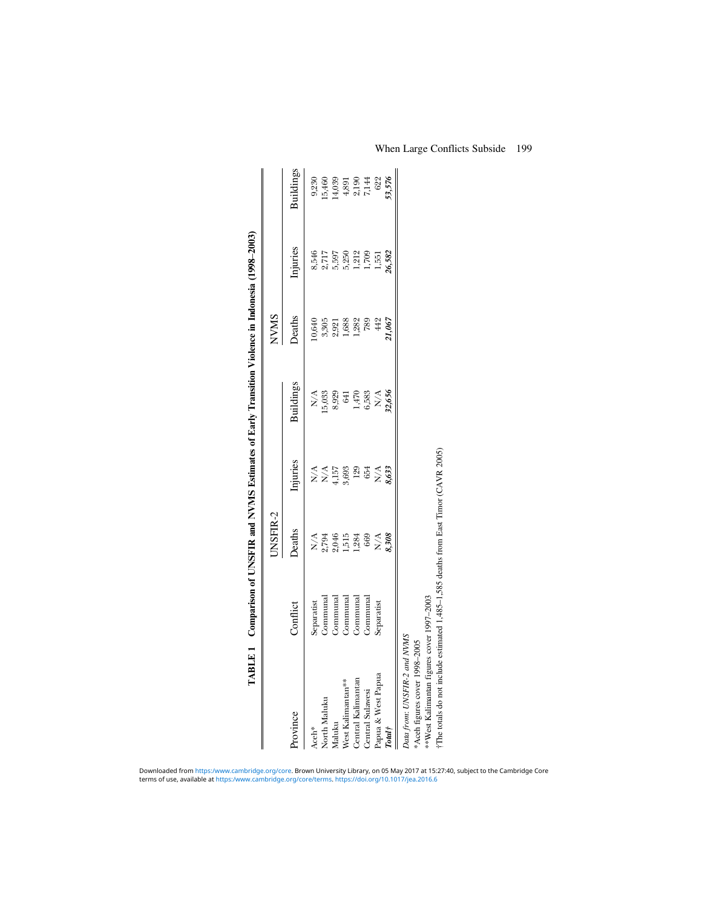|                                                                                                                                                                                                             |                |                  |                              | TABLE 1 Comparison of UNSFIR and NVMS Estimates of Early Transition Violence in Indonesia (1998-2003) |             |          |                               |
|-------------------------------------------------------------------------------------------------------------------------------------------------------------------------------------------------------------|----------------|------------------|------------------------------|-------------------------------------------------------------------------------------------------------|-------------|----------|-------------------------------|
|                                                                                                                                                                                                             |                | JNSFIR-2         |                              |                                                                                                       | <b>NVMS</b> |          |                               |
| Province                                                                                                                                                                                                    | Conflict       | Deaths           | Injuries                     | <b>Buildings</b>                                                                                      | Deaths      | Injuries | <b>Buildings</b>              |
| Aceh*                                                                                                                                                                                                       | Separatist     | $\frac{A}{A}$    | $\stackrel{\triangle}{\geq}$ | $\frac{1}{\sqrt{2}}$                                                                                  | 0.640       | 8,546    | 9,230                         |
| North Maluku                                                                                                                                                                                                | Communal       | 2,794            | $\sum_{i=1}^{n}$             | 15,033                                                                                                | 3,305       | 2,717    | 15,460                        |
| Maluku                                                                                                                                                                                                      | <b>Communa</b> | 2,046            | 4,157                        | 8,929                                                                                                 | 2,921       | 5,597    | 14,039                        |
| West Kalimantan <sup>**</sup>                                                                                                                                                                               | Communal       | 1,515            | 3,693                        | 641                                                                                                   | 1,688       | 5,250    |                               |
| Central Kalimantan                                                                                                                                                                                          | Communal       | 1,284            | 129                          | 1,470                                                                                                 | 1,282       | 1,212    | $4,891$<br>$9,190$<br>$7,144$ |
| Central Sulawesi                                                                                                                                                                                            | Communal       | 669              |                              | 6,583                                                                                                 | 789         | 1,709    |                               |
| Papua & West Papua                                                                                                                                                                                          | Separatist     | $\sum_{i=1}^{n}$ | $\sum_{i=1}^{n}$             | $\frac{4}{\sqrt{2}}$                                                                                  |             | 1,551    | 622                           |
| Total†                                                                                                                                                                                                      |                | 8.308            | 8,633                        | 32,656                                                                                                | 21,067      | 26,582   | 53,576                        |
| $\uparrow$ The totals do not include estimated 1,485–1,585 deaths from East Timor (CAVR 2005)<br>**West Kalimantan figures cover 1997-2003<br>Data from: UNSFIR-2 and NVMS<br>*Aceh figures cover 1998-2005 |                |                  |                              |                                                                                                       |             |          |                               |

When Large Conflicts Subside 199

Downloaded from https:/www.cambridge.org/core. Brown University Library, on 05 May 2017 at 15:27:40, subject to the Cambridge Core<br>terms of use, available at https:/www.cambridge.org/core/terms. https://doi.org/10.1017/jea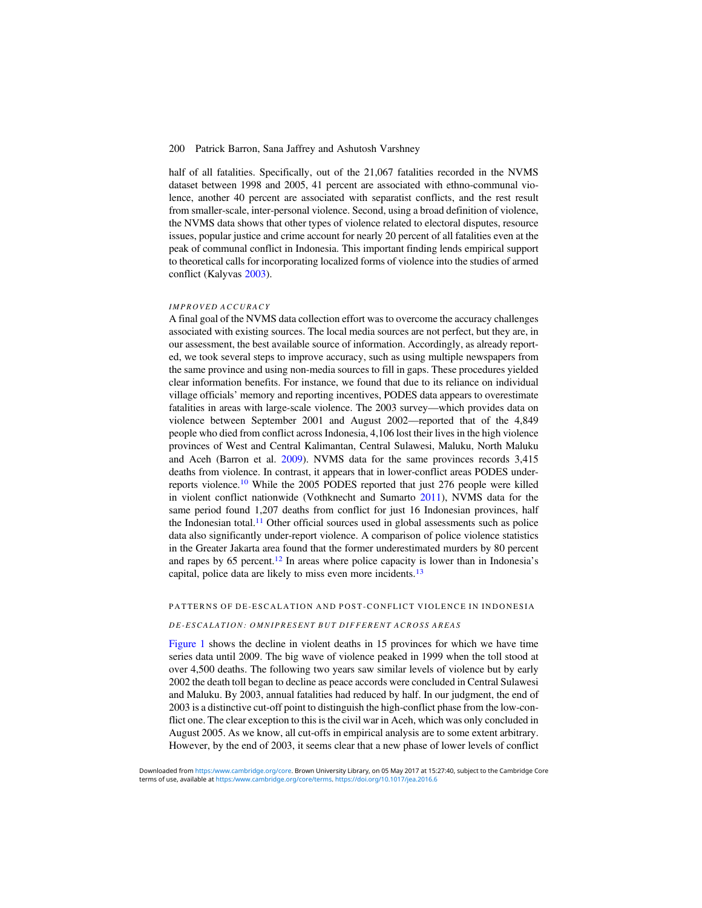half of all fatalities. Specifically, out of the 21,067 fatalities recorded in the NVMS dataset between 1998 and 2005, 41 percent are associated with ethno-communal violence, another 40 percent are associated with separatist conflicts, and the rest result from smaller-scale, inter-personal violence. Second, using a broad definition of violence, the NVMS data shows that other types of violence related to electoral disputes, resource issues, popular justice and crime account for nearly 20 percent of all fatalities even at the peak of communal conflict in Indonesia. This important finding lends empirical support to theoretical calls for incorporating localized forms of violence into the studies of armed conflict (Kalyvas 2003).

# IMPROVED ACCURACY

A final goal of the NVMS data collection effort was to overcome the accuracy challenges associated with existing sources. The local media sources are not perfect, but they are, in our assessment, the best available source of information. Accordingly, as already reported, we took several steps to improve accuracy, such as using multiple newspapers from the same province and using non-media sources to fill in gaps. These procedures yielded clear information benefits. For instance, we found that due to its reliance on individual village officials' memory and reporting incentives, PODES data appears to overestimate fatalities in areas with large-scale violence. The 2003 survey—which provides data on violence between September 2001 and August 2002—reported that of the 4,849 people who died from conflict across Indonesia, 4,106 lost their lives in the high violence provinces of West and Central Kalimantan, Central Sulawesi, Maluku, North Maluku and Aceh (Barron et al. 2009). NVMS data for the same provinces records 3,415 deaths from violence. In contrast, it appears that in lower-conflict areas PODES underreports violence.10 While the 2005 PODES reported that just 276 people were killed in violent conflict nationwide (Vothknecht and Sumarto 2011), NVMS data for the same period found 1,207 deaths from conflict for just 16 Indonesian provinces, half the Indonesian total.<sup>11</sup> Other official sources used in global assessments such as police data also significantly under-report violence. A comparison of police violence statistics in the Greater Jakarta area found that the former underestimated murders by 80 percent and rapes by 65 percent.12 In areas where police capacity is lower than in Indonesia's capital, police data are likely to miss even more incidents.13

#### PATTERNS OF DE-ESCALATION AND POST-CONFLICT VIOLENCE IN INDONESIA

#### DE-ESCALATION: OMNIPRESENT BUT DIFFERENT ACROSS AREAS

Figure 1 shows the decline in violent deaths in 15 provinces for which we have time series data until 2009. The big wave of violence peaked in 1999 when the toll stood at over 4,500 deaths. The following two years saw similar levels of violence but by early 2002 the death toll began to decline as peace accords were concluded in Central Sulawesi and Maluku. By 2003, annual fatalities had reduced by half. In our judgment, the end of 2003 is a distinctive cut-off point to distinguish the high-conflict phase from the low-conflict one. The clear exception to this is the civil war in Aceh, which was only concluded in August 2005. As we know, all cut-offs in empirical analysis are to some extent arbitrary. However, by the end of 2003, it seems clear that a new phase of lower levels of conflict

terms of use, available at https:/www.cambridge.org/core/terms. https://doi.org/10.1017/jea.2016.6 Downloaded from https:/www.cambridge.org/core. Brown University Library, on 05 May 2017 at 15:27:40, subject to the Cambridge Core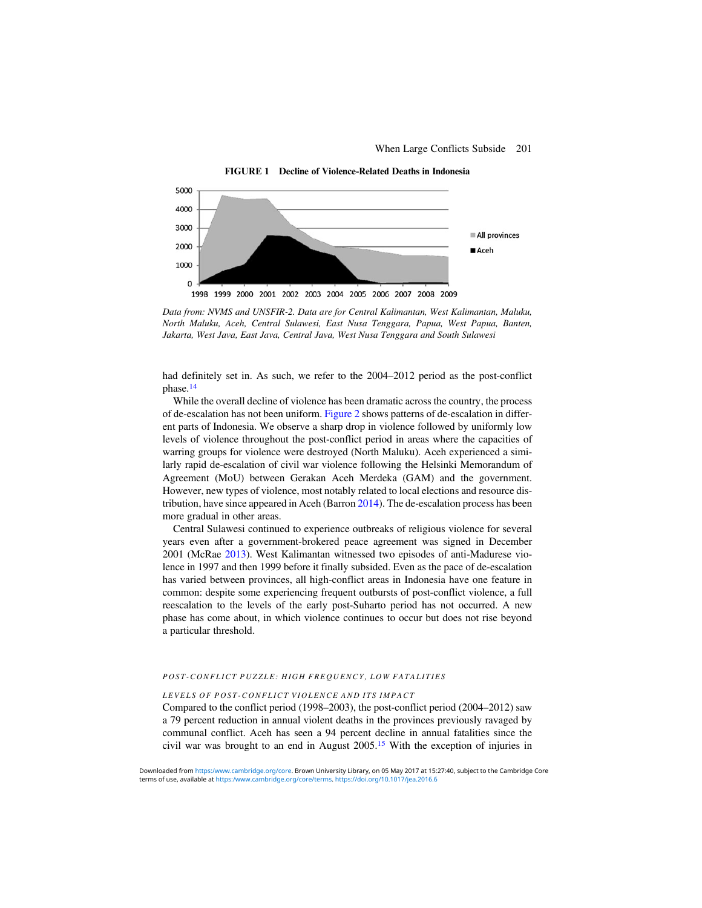



Data from: NVMS and UNSFIR-2. Data are for Central Kalimantan, West Kalimantan, Maluku, North Maluku, Aceh, Central Sulawesi, East Nusa Tenggara, Papua, West Papua, Banten, Jakarta, West Java, East Java, Central Java, West Nusa Tenggara and South Sulawesi

had definitely set in. As such, we refer to the 2004–2012 period as the post-conflict phase.14

While the overall decline of violence has been dramatic across the country, the process of de-escalation has not been uniform. Figure 2 shows patterns of de-escalation in different parts of Indonesia. We observe a sharp drop in violence followed by uniformly low levels of violence throughout the post-conflict period in areas where the capacities of warring groups for violence were destroyed (North Maluku). Aceh experienced a similarly rapid de-escalation of civil war violence following the Helsinki Memorandum of Agreement (MoU) between Gerakan Aceh Merdeka (GAM) and the government. However, new types of violence, most notably related to local elections and resource distribution, have since appeared in Aceh (Barron 2014). The de-escalation process has been more gradual in other areas.

Central Sulawesi continued to experience outbreaks of religious violence for several years even after a government-brokered peace agreement was signed in December 2001 (McRae 2013). West Kalimantan witnessed two episodes of anti-Madurese violence in 1997 and then 1999 before it finally subsided. Even as the pace of de-escalation has varied between provinces, all high-conflict areas in Indonesia have one feature in common: despite some experiencing frequent outbursts of post-conflict violence, a full reescalation to the levels of the early post-Suharto period has not occurred. A new phase has come about, in which violence continues to occur but does not rise beyond a particular threshold.

#### POST-CONFLICT PUZZLE: HIGH FREQUENCY, LOW FATALITIES

#### LEVELS OF POST-CONFLICT VIOLENCE AND ITS IMPACT

Compared to the conflict period (1998–2003), the post-conflict period (2004–2012) saw a 79 percent reduction in annual violent deaths in the provinces previously ravaged by communal conflict. Aceh has seen a 94 percent decline in annual fatalities since the civil war was brought to an end in August 2005.15 With the exception of injuries in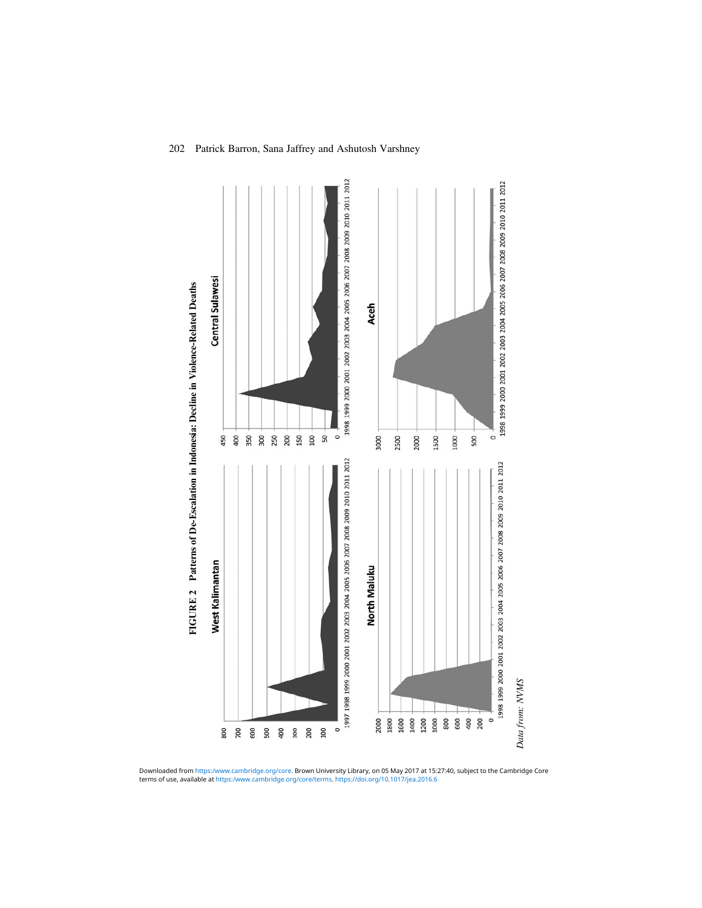

terms of use, available at https:/www.cambridge.org/core/terms. https://doi.org/10.1017/jea.2016.6 Downloaded from https:/www.cambridge.org/core. Brown University Library, on 05 May 2017 at 15:27:40, subject to the Cambridge Core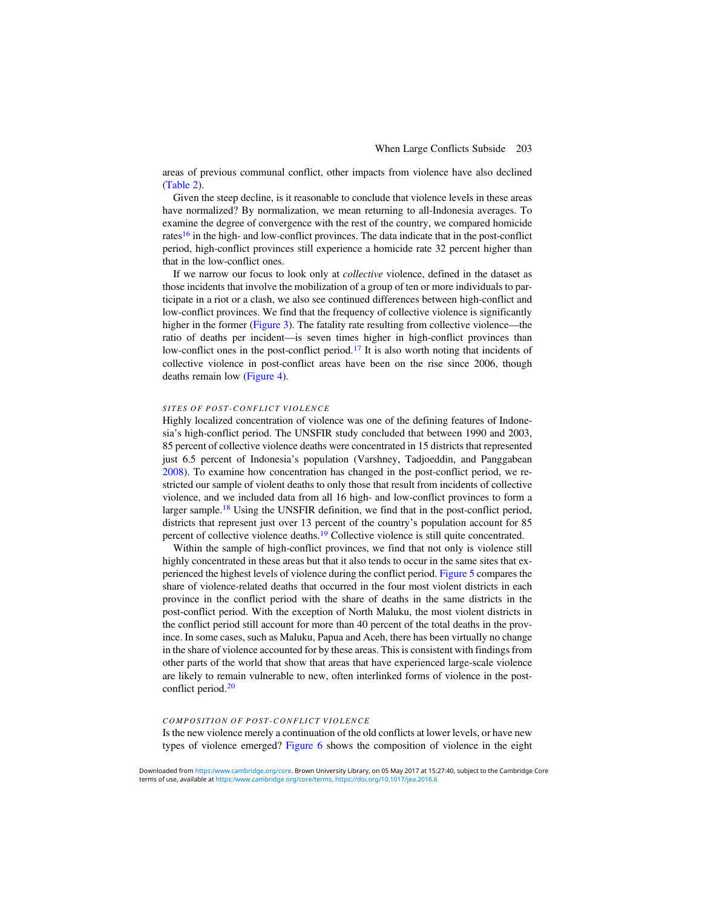areas of previous communal conflict, other impacts from violence have also declined (Table 2).

Given the steep decline, is it reasonable to conclude that violence levels in these areas have normalized? By normalization, we mean returning to all-Indonesia averages. To examine the degree of convergence with the rest of the country, we compared homicide rates $16$  in the high- and low-conflict provinces. The data indicate that in the post-conflict period, high-conflict provinces still experience a homicide rate 32 percent higher than that in the low-conflict ones.

If we narrow our focus to look only at collective violence, defined in the dataset as those incidents that involve the mobilization of a group of ten or more individuals to participate in a riot or a clash, we also see continued differences between high-conflict and low-conflict provinces. We find that the frequency of collective violence is significantly higher in the former (Figure 3). The fatality rate resulting from collective violence—the ratio of deaths per incident—is seven times higher in high-conflict provinces than low-conflict ones in the post-conflict period.<sup>17</sup> It is also worth noting that incidents of collective violence in post-conflict areas have been on the rise since 2006, though deaths remain low (Figure 4).

#### SITES OF POST-CONFLICT VIOLENCE

Highly localized concentration of violence was one of the defining features of Indonesia's high-conflict period. The UNSFIR study concluded that between 1990 and 2003, 85 percent of collective violence deaths were concentrated in 15 districts that represented just 6.5 percent of Indonesia's population (Varshney, Tadjoeddin, and Panggabean 2008). To examine how concentration has changed in the post-conflict period, we restricted our sample of violent deaths to only those that result from incidents of collective violence, and we included data from all 16 high- and low-conflict provinces to form a larger sample.18 Using the UNSFIR definition, we find that in the post-conflict period, districts that represent just over 13 percent of the country's population account for 85 percent of collective violence deaths.19 Collective violence is still quite concentrated.

Within the sample of high-conflict provinces, we find that not only is violence still highly concentrated in these areas but that it also tends to occur in the same sites that experienced the highest levels of violence during the conflict period. Figure 5 compares the share of violence-related deaths that occurred in the four most violent districts in each province in the conflict period with the share of deaths in the same districts in the post-conflict period. With the exception of North Maluku, the most violent districts in the conflict period still account for more than 40 percent of the total deaths in the province. In some cases, such as Maluku, Papua and Aceh, there has been virtually no change in the share of violence accounted for by these areas. This is consistent with findings from other parts of the world that show that areas that have experienced large-scale violence are likely to remain vulnerable to new, often interlinked forms of violence in the postconflict period.<sup>20</sup>

### COMPOSITION OF POST-CONFLICT VIOLENCE

Is the new violence merely a continuation of the old conflicts at lower levels, or have new types of violence emerged? Figure 6 shows the composition of violence in the eight

terms of use, available at https:/www.cambridge.org/core/terms. https://doi.org/10.1017/jea.2016.6 Downloaded from https:/www.cambridge.org/core. Brown University Library, on 05 May 2017 at 15:27:40, subject to the Cambridge Core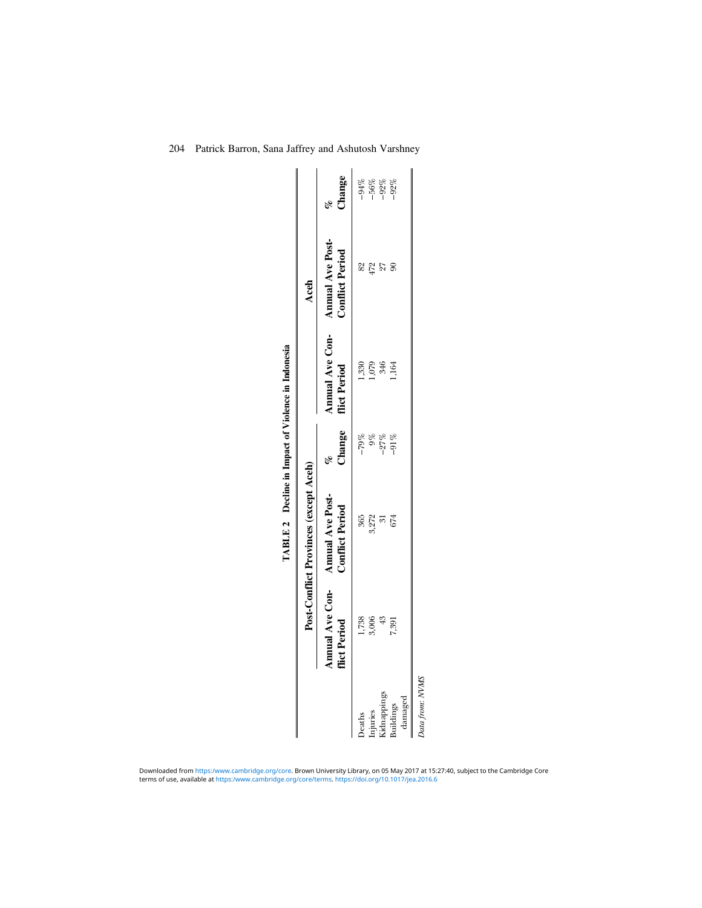|                             |              | TABLE 2 Decline in Impact of Violence in Indonesia<br>Post-Conflict Provinces (except Aceh) |                  |              | Aceh                                                       |                                    |
|-----------------------------|--------------|---------------------------------------------------------------------------------------------|------------------|--------------|------------------------------------------------------------|------------------------------------|
|                             | flict Period | Annual Ave Con- Annual Ave Post-<br><b>Conflict Period</b>                                  | Change           | flict Period | Annual Ave Con- Annual Ave Post-<br><b>Conflict Period</b> | Change<br>og<br>Po                 |
| Deaths                      | 1,738        | 365                                                                                         | $-79\%$          | 1,330        |                                                            |                                    |
| Injuries                    | 3,006        | 3,272                                                                                       | $9\%$            | 620'         | 472                                                        | 8<br>5 8 8 8<br>7 7 9 9<br>1 7 9 9 |
| Kidnappings                 | 43           | $\overline{31}$                                                                             | $-27%$<br>$-91%$ | 346          |                                                            |                                    |
| damaged<br><b>Buildings</b> | 7,391        | 674                                                                                         |                  | 1,164        |                                                            |                                    |
| Data from: NVMS             |              |                                                                                             |                  |              |                                                            |                                    |

Downloaded from https:/www.cambridge.org/core. Brown University Library, on 05 May 2017 at 15:27:40, subject to the Cambridge Core<br>terms of use, available at https:/www.cambridge.org/core/terms. https://doi.org/10.1017/jea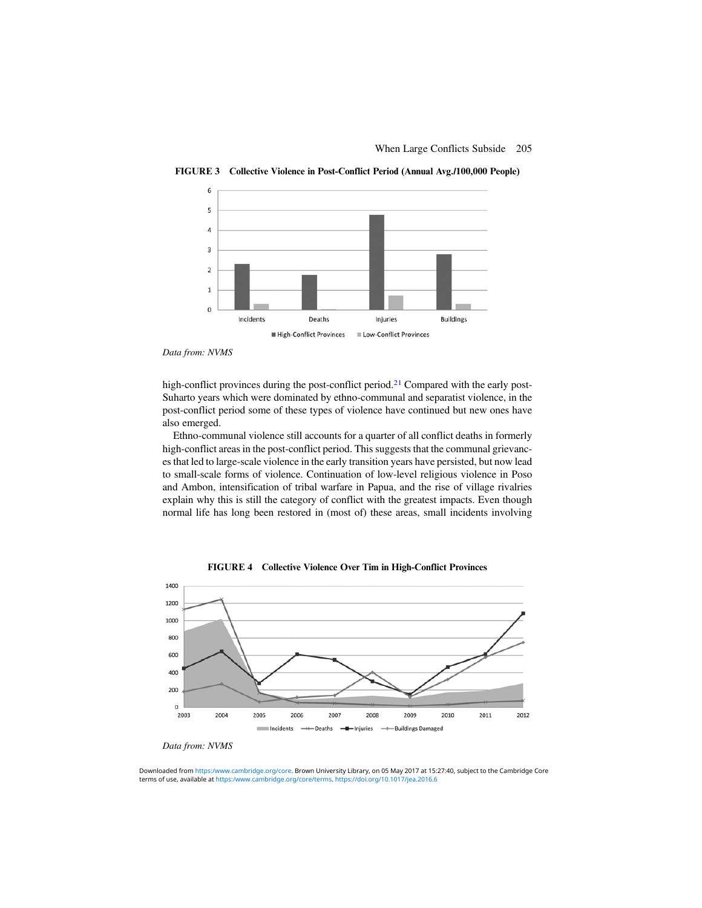

FIGURE 3 Collective Violence in Post-Conflict Period (Annual Avg./100,000 People)

### Data from: NVMS

high-conflict provinces during the post-conflict period.<sup>21</sup> Compared with the early post-Suharto years which were dominated by ethno-communal and separatist violence, in the post-conflict period some of these types of violence have continued but new ones have also emerged.

Ethno-communal violence still accounts for a quarter of all conflict deaths in formerly high-conflict areas in the post-conflict period. This suggests that the communal grievances that led to large-scale violence in the early transition years have persisted, but now lead to small-scale forms of violence. Continuation of low-level religious violence in Poso and Ambon, intensification of tribal warfare in Papua, and the rise of village rivalries explain why this is still the category of conflict with the greatest impacts. Even though normal life has long been restored in (most of) these areas, small incidents involving





Data from: NVMS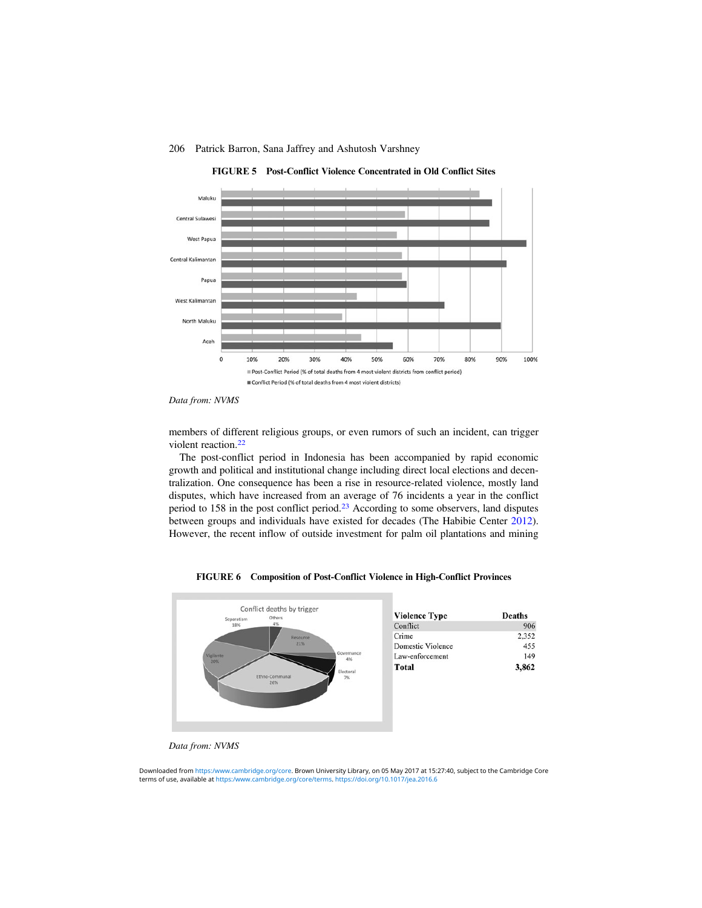FIGURE 5 Post-Conflict Violence Concentrated in Old Conflict Sites



Data from: NVMS

members of different religious groups, or even rumors of such an incident, can trigger violent reaction.22

The post-conflict period in Indonesia has been accompanied by rapid economic growth and political and institutional change including direct local elections and decentralization. One consequence has been a rise in resource-related violence, mostly land disputes, which have increased from an average of 76 incidents a year in the conflict period to 158 in the post conflict period.<sup>23</sup> According to some observers, land disputes between groups and individuals have existed for decades (The Habibie Center 2012). However, the recent inflow of outside investment for palm oil plantations and mining



FIGURE 6 Composition of Post-Conflict Violence in High-Conflict Provinces

906

455

149

Data from: NVMS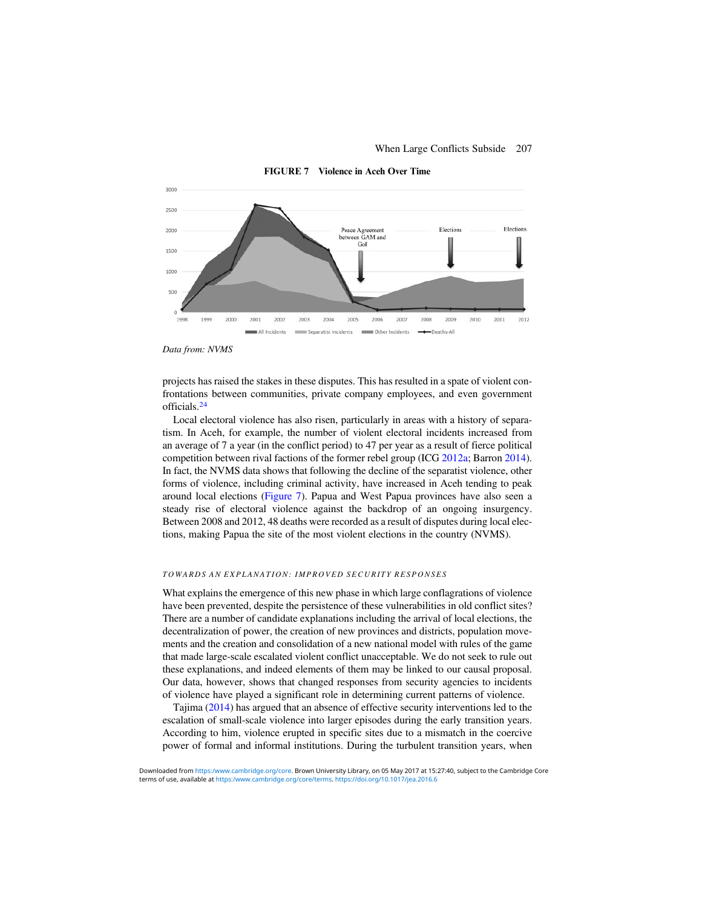

FIGURE 7 Violence in Aceh Over Time

projects has raised the stakes in these disputes. This has resulted in a spate of violent confrontations between communities, private company employees, and even government officials.24

Local electoral violence has also risen, particularly in areas with a history of separatism. In Aceh, for example, the number of violent electoral incidents increased from an average of 7 a year (in the conflict period) to 47 per year as a result of fierce political competition between rival factions of the former rebel group (ICG 2012a; Barron 2014). In fact, the NVMS data shows that following the decline of the separatist violence, other forms of violence, including criminal activity, have increased in Aceh tending to peak around local elections (Figure 7). Papua and West Papua provinces have also seen a steady rise of electoral violence against the backdrop of an ongoing insurgency. Between 2008 and 2012, 48 deaths were recorded as a result of disputes during local elections, making Papua the site of the most violent elections in the country (NVMS).

### TOWARDS AN EXPLANATION: IMPROVED SECURITY RESPONSES

What explains the emergence of this new phase in which large conflagrations of violence have been prevented, despite the persistence of these vulnerabilities in old conflict sites? There are a number of candidate explanations including the arrival of local elections, the decentralization of power, the creation of new provinces and districts, population movements and the creation and consolidation of a new national model with rules of the game that made large-scale escalated violent conflict unacceptable. We do not seek to rule out these explanations, and indeed elements of them may be linked to our causal proposal. Our data, however, shows that changed responses from security agencies to incidents of violence have played a significant role in determining current patterns of violence.

Tajima (2014) has argued that an absence of effective security interventions led to the escalation of small-scale violence into larger episodes during the early transition years. According to him, violence erupted in specific sites due to a mismatch in the coercive power of formal and informal institutions. During the turbulent transition years, when

Data from: NVMS

terms of use, available at https:/www.cambridge.org/core/terms. https://doi.org/10.1017/jea.2016.6 Downloaded from https:/www.cambridge.org/core. Brown University Library, on 05 May 2017 at 15:27:40, subject to the Cambridge Core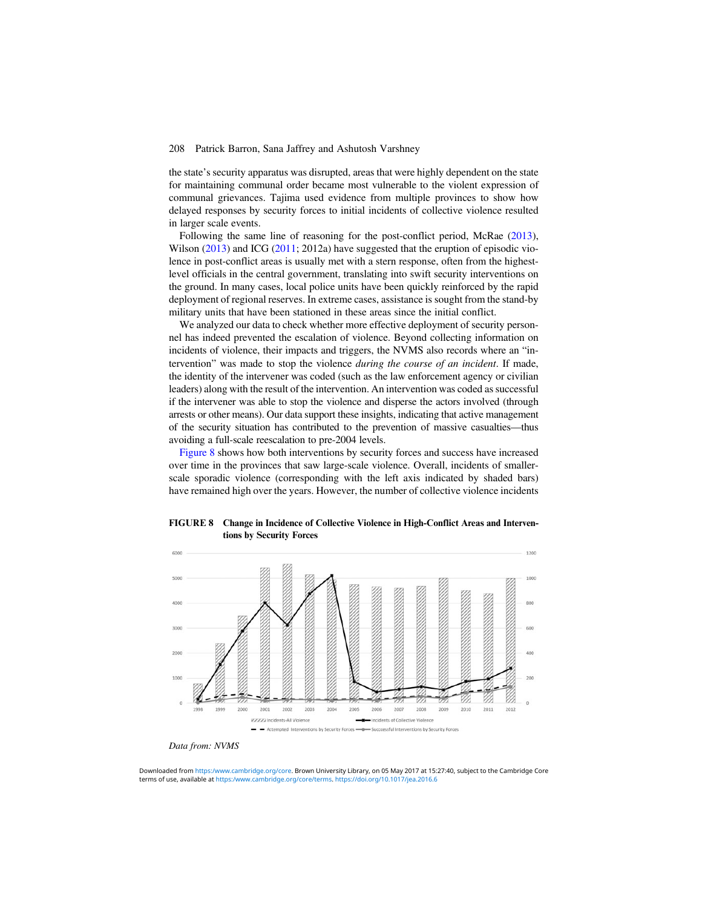the state's security apparatus was disrupted, areas that were highly dependent on the state for maintaining communal order became most vulnerable to the violent expression of communal grievances. Tajima used evidence from multiple provinces to show how delayed responses by security forces to initial incidents of collective violence resulted in larger scale events.

Following the same line of reasoning for the post-conflict period, McRae (2013), Wilson  $(2013)$  and ICG  $(2011; 2012a)$  have suggested that the eruption of episodic violence in post-conflict areas is usually met with a stern response, often from the highestlevel officials in the central government, translating into swift security interventions on the ground. In many cases, local police units have been quickly reinforced by the rapid deployment of regional reserves. In extreme cases, assistance is sought from the stand-by military units that have been stationed in these areas since the initial conflict.

We analyzed our data to check whether more effective deployment of security personnel has indeed prevented the escalation of violence. Beyond collecting information on incidents of violence, their impacts and triggers, the NVMS also records where an "intervention" was made to stop the violence during the course of an incident. If made, the identity of the intervener was coded (such as the law enforcement agency or civilian leaders) along with the result of the intervention. An intervention was coded as successful if the intervener was able to stop the violence and disperse the actors involved (through arrests or other means). Our data support these insights, indicating that active management of the security situation has contributed to the prevention of massive casualties—thus avoiding a full-scale reescalation to pre-2004 levels.

Figure 8 shows how both interventions by security forces and success have increased over time in the provinces that saw large-scale violence. Overall, incidents of smallerscale sporadic violence (corresponding with the left axis indicated by shaded bars) have remained high over the years. However, the number of collective violence incidents



FIGURE 8 Change in Incidence of Collective Violence in High-Conflict Areas and Interventions by Security Forces

Data from: NVMS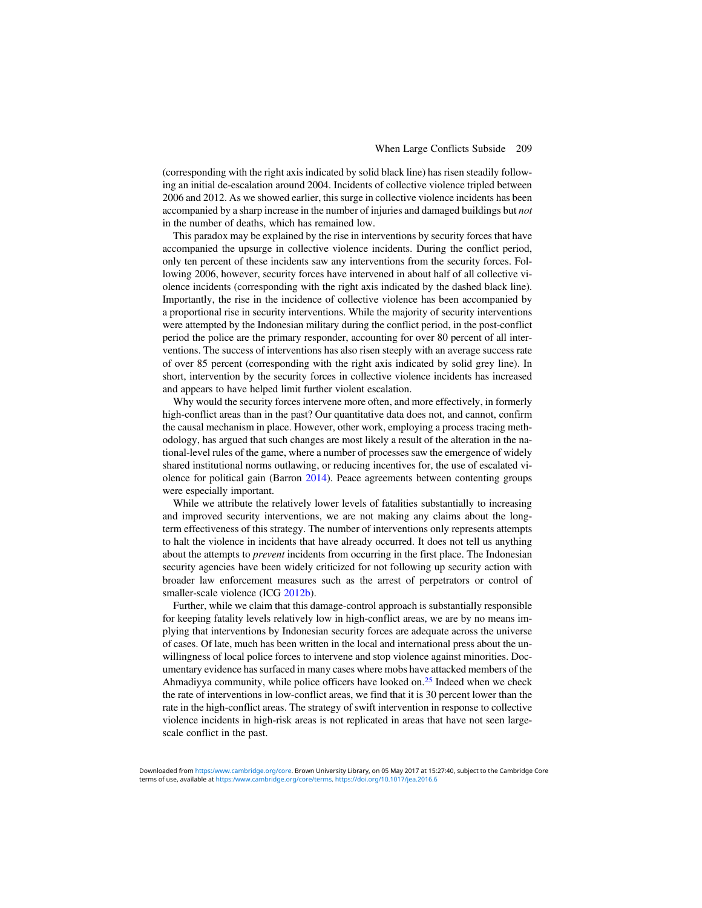(corresponding with the right axis indicated by solid black line) has risen steadily following an initial de-escalation around 2004. Incidents of collective violence tripled between 2006 and 2012. As we showed earlier, this surge in collective violence incidents has been accompanied by a sharp increase in the number of injuries and damaged buildings but not in the number of deaths, which has remained low.

This paradox may be explained by the rise in interventions by security forces that have accompanied the upsurge in collective violence incidents. During the conflict period, only ten percent of these incidents saw any interventions from the security forces. Following 2006, however, security forces have intervened in about half of all collective violence incidents (corresponding with the right axis indicated by the dashed black line). Importantly, the rise in the incidence of collective violence has been accompanied by a proportional rise in security interventions. While the majority of security interventions were attempted by the Indonesian military during the conflict period, in the post-conflict period the police are the primary responder, accounting for over 80 percent of all interventions. The success of interventions has also risen steeply with an average success rate of over 85 percent (corresponding with the right axis indicated by solid grey line). In short, intervention by the security forces in collective violence incidents has increased and appears to have helped limit further violent escalation.

Why would the security forces intervene more often, and more effectively, in formerly high-conflict areas than in the past? Our quantitative data does not, and cannot, confirm the causal mechanism in place. However, other work, employing a process tracing methodology, has argued that such changes are most likely a result of the alteration in the national-level rules of the game, where a number of processes saw the emergence of widely shared institutional norms outlawing, or reducing incentives for, the use of escalated violence for political gain (Barron 2014). Peace agreements between contenting groups were especially important.

While we attribute the relatively lower levels of fatalities substantially to increasing and improved security interventions, we are not making any claims about the longterm effectiveness of this strategy. The number of interventions only represents attempts to halt the violence in incidents that have already occurred. It does not tell us anything about the attempts to *prevent* incidents from occurring in the first place. The Indonesian security agencies have been widely criticized for not following up security action with broader law enforcement measures such as the arrest of perpetrators or control of smaller-scale violence (ICG 2012b).

Further, while we claim that this damage-control approach is substantially responsible for keeping fatality levels relatively low in high-conflict areas, we are by no means implying that interventions by Indonesian security forces are adequate across the universe of cases. Of late, much has been written in the local and international press about the unwillingness of local police forces to intervene and stop violence against minorities. Documentary evidence has surfaced in many cases where mobs have attacked members of the Ahmadiyya community, while police officers have looked on.<sup>25</sup> Indeed when we check the rate of interventions in low-conflict areas, we find that it is 30 percent lower than the rate in the high-conflict areas. The strategy of swift intervention in response to collective violence incidents in high-risk areas is not replicated in areas that have not seen largescale conflict in the past.

terms of use, available at https:/www.cambridge.org/core/terms. https://doi.org/10.1017/jea.2016.6 Downloaded from https:/www.cambridge.org/core. Brown University Library, on 05 May 2017 at 15:27:40, subject to the Cambridge Core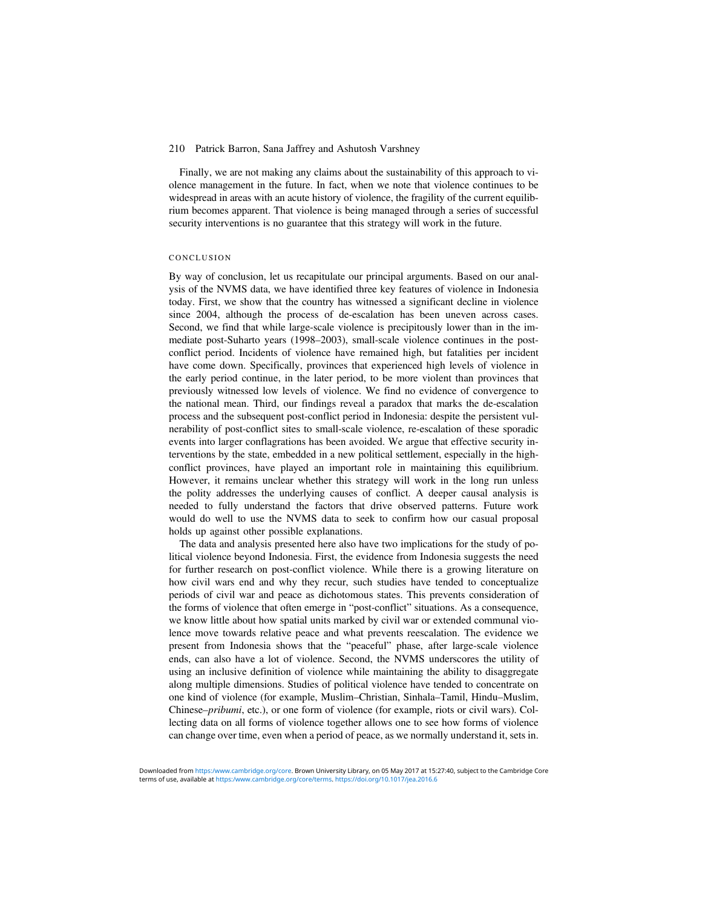Finally, we are not making any claims about the sustainability of this approach to violence management in the future. In fact, when we note that violence continues to be widespread in areas with an acute history of violence, the fragility of the current equilibrium becomes apparent. That violence is being managed through a series of successful security interventions is no guarantee that this strategy will work in the future.

# CONCLUSION

By way of conclusion, let us recapitulate our principal arguments. Based on our analysis of the NVMS data, we have identified three key features of violence in Indonesia today. First, we show that the country has witnessed a significant decline in violence since 2004, although the process of de-escalation has been uneven across cases. Second, we find that while large-scale violence is precipitously lower than in the immediate post-Suharto years (1998–2003), small-scale violence continues in the postconflict period. Incidents of violence have remained high, but fatalities per incident have come down. Specifically, provinces that experienced high levels of violence in the early period continue, in the later period, to be more violent than provinces that previously witnessed low levels of violence. We find no evidence of convergence to the national mean. Third, our findings reveal a paradox that marks the de-escalation process and the subsequent post-conflict period in Indonesia: despite the persistent vulnerability of post-conflict sites to small-scale violence, re-escalation of these sporadic events into larger conflagrations has been avoided. We argue that effective security interventions by the state, embedded in a new political settlement, especially in the highconflict provinces, have played an important role in maintaining this equilibrium. However, it remains unclear whether this strategy will work in the long run unless the polity addresses the underlying causes of conflict. A deeper causal analysis is needed to fully understand the factors that drive observed patterns. Future work would do well to use the NVMS data to seek to confirm how our casual proposal holds up against other possible explanations.

The data and analysis presented here also have two implications for the study of political violence beyond Indonesia. First, the evidence from Indonesia suggests the need for further research on post-conflict violence. While there is a growing literature on how civil wars end and why they recur, such studies have tended to conceptualize periods of civil war and peace as dichotomous states. This prevents consideration of the forms of violence that often emerge in "post-conflict" situations. As a consequence, we know little about how spatial units marked by civil war or extended communal violence move towards relative peace and what prevents reescalation. The evidence we present from Indonesia shows that the "peaceful" phase, after large-scale violence ends, can also have a lot of violence. Second, the NVMS underscores the utility of using an inclusive definition of violence while maintaining the ability to disaggregate along multiple dimensions. Studies of political violence have tended to concentrate on one kind of violence (for example, Muslim–Christian, Sinhala–Tamil, Hindu–Muslim, Chinese–pribumi, etc.), or one form of violence (for example, riots or civil wars). Collecting data on all forms of violence together allows one to see how forms of violence can change over time, even when a period of peace, as we normally understand it, sets in.

terms of use, available at https:/www.cambridge.org/core/terms. https://doi.org/10.1017/jea.2016.6 Downloaded from https:/www.cambridge.org/core. Brown University Library, on 05 May 2017 at 15:27:40, subject to the Cambridge Core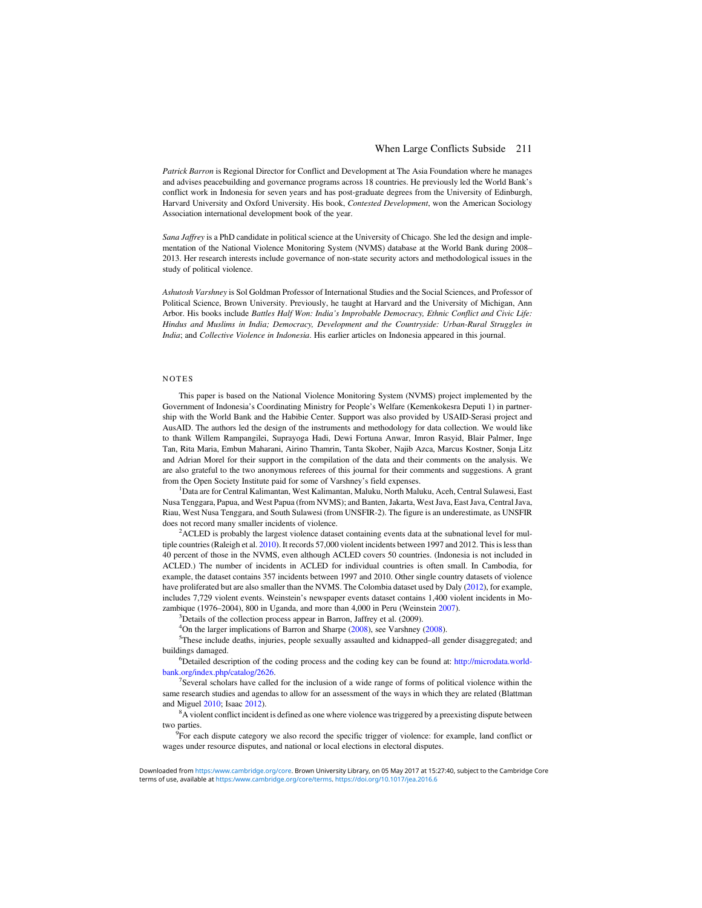Patrick Barron is Regional Director for Conflict and Development at The Asia Foundation where he manages and advises peacebuilding and governance programs across 18 countries. He previously led the World Bank's conflict work in Indonesia for seven years and has post-graduate degrees from the University of Edinburgh, Harvard University and Oxford University. His book, Contested Development, won the American Sociology Association international development book of the year.

Sana Jaffrey is a PhD candidate in political science at the University of Chicago. She led the design and implementation of the National Violence Monitoring System (NVMS) database at the World Bank during 2008– 2013. Her research interests include governance of non-state security actors and methodological issues in the study of political violence.

Ashutosh Varshney is Sol Goldman Professor of International Studies and the Social Sciences, and Professor of Political Science, Brown University. Previously, he taught at Harvard and the University of Michigan, Ann Arbor. His books include Battles Half Won: India's Improbable Democracy, Ethnic Conflict and Civic Life: Hindus and Muslims in India; Democracy, Development and the Countryside: Urban-Rural Struggles in India; and Collective Violence in Indonesia. His earlier articles on Indonesia appeared in this journal.

#### NOTES

This paper is based on the National Violence Monitoring System (NVMS) project implemented by the Government of Indonesia's Coordinating Ministry for People's Welfare (Kemenkokesra Deputi 1) in partnership with the World Bank and the Habibie Center. Support was also provided by USAID-Serasi project and AusAID. The authors led the design of the instruments and methodology for data collection. We would like to thank Willem Rampangilei, Suprayoga Hadi, Dewi Fortuna Anwar, Imron Rasyid, Blair Palmer, Inge Tan, Rita Maria, Embun Maharani, Airino Thamrin, Tanta Skober, Najib Azca, Marcus Kostner, Sonja Litz and Adrian Morel for their support in the compilation of the data and their comments on the analysis. We are also grateful to the two anonymous referees of this journal for their comments and suggestions. A grant from the Open Society Institute paid for some of Varshney's field expenses.

<sup>1</sup>Data are for Central Kalimantan, West Kalimantan, Maluku, North Maluku, Aceh, Central Sulawesi, East Nusa Tenggara, Papua, and West Papua (from NVMS); and Banten, Jakarta, West Java, East Java, Central Java, Riau, West Nusa Tenggara, and South Sulawesi (from UNSFIR-2). The figure is an underestimate, as UNSFIR does not record many smaller incidents of violence.

<sup>2</sup>ACLED is probably the largest violence dataset containing events data at the subnational level for multiple countries (Raleigh et al. 2010). It records 57,000 violent incidents between 1997 and 2012. This is less than 40 percent of those in the NVMS, even although ACLED covers 50 countries. (Indonesia is not included in ACLED.) The number of incidents in ACLED for individual countries is often small. In Cambodia, for example, the dataset contains 357 incidents between 1997 and 2010. Other single country datasets of violence have proliferated but are also smaller than the NVMS. The Colombia dataset used by Daly (2012), for example, includes 7,729 violent events. Weinstein's newspaper events dataset contains 1,400 violent incidents in Mozambique (1976–2004), 800 in Uganda, and more than 4,000 in Peru (Weinstein 2007).

<sup>3</sup>Details of the collection process appear in Barron, Jaffrey et al. (2009).

<sup>4</sup>On the larger implications of Barron and Sharpe (2008), see Varshney (2008).

<sup>5</sup>These include deaths, injuries, people sexually assaulted and kidnapped–all gender disaggregated; and buildings damaged.

<sup>6</sup>Detailed description of the coding process and the coding key can be found at: [http://microdata.world](http://microdata.worldbank.org/index.php/catalog/2626)[bank.org/index.php/catalog/2626.](http://microdata.worldbank.org/index.php/catalog/2626)

<sup>7</sup>Several scholars have called for the inclusion of a wide range of forms of political violence within the same research studies and agendas to allow for an assessment of the ways in which they are related (Blattman and Miguel 2010; Isaac 2012).

 ${}^{8}$ A violent conflict incident is defined as one where violence was triggered by a preexisting dispute between two parties

 $9^{\circ}$ For each dispute category we also record the specific trigger of violence: for example, land conflict or wages under resource disputes, and national or local elections in electoral disputes.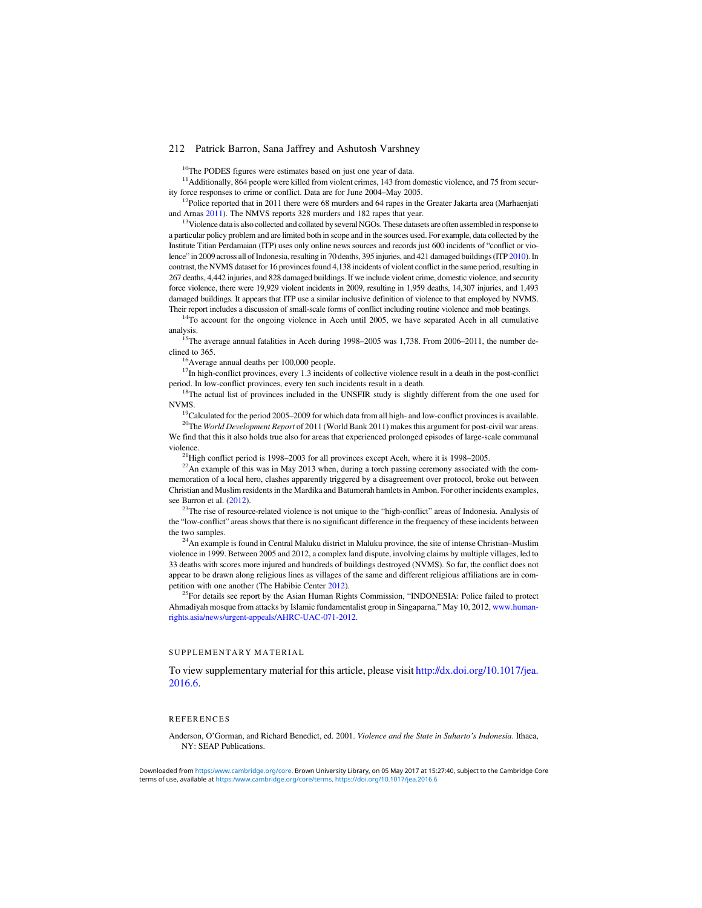<sup>10</sup>The PODES figures were estimates based on just one year of data.

 $11$ Additionally, 864 people were killed from violent crimes, 143 from domestic violence, and 75 from security force responses to crime or conflict. Data are for June 2004–May 2005.

<sup>12</sup>Police reported that in 2011 there were 68 murders and 64 rapes in the Greater Jakarta area (Marhaenjati and Arnas 2011). The NMVS reports 328 murders and 182 rapes that year.

 $13$ Violence data is also collected and collated by several NGOs. These datasets are often assembled in response to a particular policy problem and are limited both in scope and in the sources used. For example, data collected by the Institute Titian Perdamaian (ITP) uses only online news sources and records just 600 incidents of "conflict or violence" in 2009 across all of Indonesia, resulting in 70 deaths, 395 injuries, and 421 damaged buildings (ITP 2010). In contrast, the NVMS dataset for 16 provinces found 4,138 incidents of violent conflict in the same period, resulting in 267 deaths, 4,442 injuries, and 828 damaged buildings. If we include violent crime, domestic violence, and security force violence, there were 19,929 violent incidents in 2009, resulting in 1,959 deaths, 14,307 injuries, and 1,493 damaged buildings. It appears that ITP use a similar inclusive definition of violence to that employed by NVMS. Their report includes a discussion of small-scale forms of conflict including routine violence and mob beatings.

 $14T<sub>0</sub>$  account for the ongoing violence in Aceh until 2005, we have separated Aceh in all cumulative analysis.

<sup>15</sup>The average annual fatalities in Aceh during 1998–2005 was 1,738. From 2006–2011, the number declined to 365.

<sup>16</sup>Average annual deaths per 100,000 people.

 $17$ In high-conflict provinces, every 1.3 incidents of collective violence result in a death in the post-conflict period. In low-conflict provinces, every ten such incidents result in a death.

<sup>18</sup>The actual list of provinces included in the UNSFIR study is slightly different from the one used for NVMS.

 $19$ Calculated for the period 2005–2009 for which data from all high- and low-conflict provinces is available.  $20$ The World Development Report of 2011 (World Bank 2011) makes this argument for post-civil war areas.

We find that this it also holds true also for areas that experienced prolonged episodes of large-scale communal violence.

 $21$ High conflict period is 1998–2003 for all provinces except Aceh, where it is 1998–2005.

 $22$ An example of this was in May 2013 when, during a torch passing ceremony associated with the commemoration of a local hero, clashes apparently triggered by a disagreement over protocol, broke out between Christian and Muslim residents in the Mardika and Batumerah hamlets in Ambon. For other incidents examples, see Barron et al. (2012).

<sup>23</sup>The rise of resource-related violence is not unique to the "high-conflict" areas of Indonesia. Analysis of the "low-conflict" areas shows that there is no significant difference in the frequency of these incidents between the two samples.

<sup>24</sup>An example is found in Central Maluku district in Maluku province, the site of intense Christian–Muslim violence in 1999. Between 2005 and 2012, a complex land dispute, involving claims by multiple villages, led to 33 deaths with scores more injured and hundreds of buildings destroyed (NVMS). So far, the conflict does not appear to be drawn along religious lines as villages of the same and different religious affiliations are in competition with one another (The Habibie Center 2012).

<sup>25</sup>For details see report by the Asian Human Rights Commission, "INDONESIA: Police failed to protect Ahmadiyah mosque from attacks by Islamic fundamentalist group in Singaparna," May 10, 2012, [www.human](http://www.humanrights.asia/news/urgent-appeals/AHRC-UAC-071-2012)[rights.asia/news/urgent-appeals/AHRC-UAC-071-2012](http://www.humanrights.asia/news/urgent-appeals/AHRC-UAC-071-2012).

#### SUPPLEMENTARY MATERIAL

To view supplementary material for this article, please visit [http://dx.doi.org/10.1017/jea.](http://dx.doi.org/10.1017/jea.2016.6) [2016.6.](http://dx.doi.org/10.1017/jea.2016.6)

# **REFERENCES**

Anderson, O'Gorman, and Richard Benedict, ed. 2001. Violence and the State in Suharto's Indonesia. Ithaca, NY: SEAP Publications.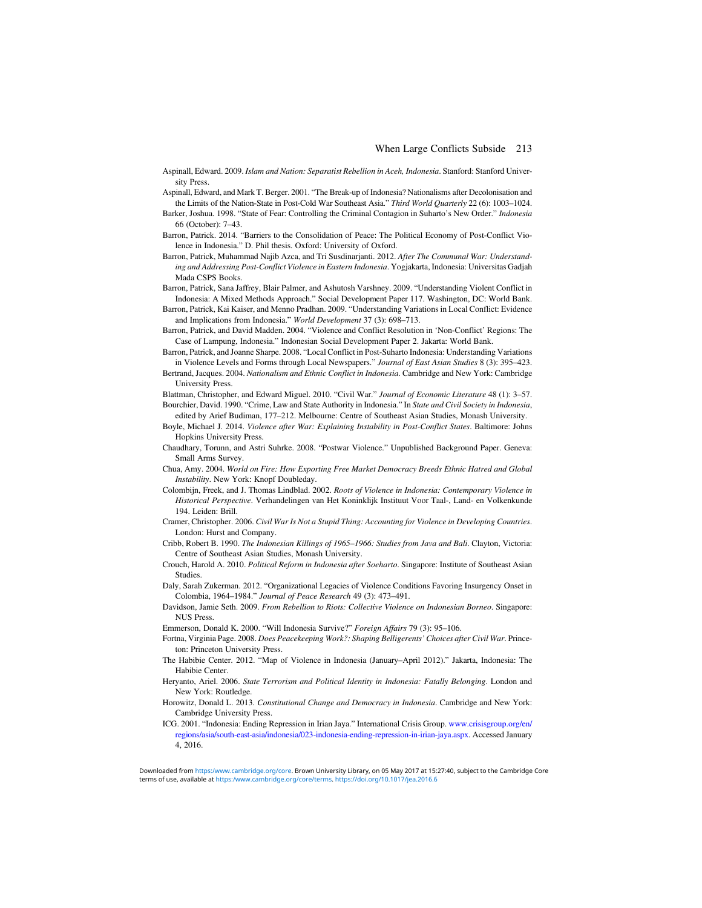Aspinall, Edward. 2009. Islam and Nation: Separatist Rebellion in Aceh, Indonesia. Stanford: Stanford University Press.

- Aspinall, Edward, and Mark T. Berger. 2001. "The Break-up of Indonesia? Nationalisms after Decolonisation and the Limits of the Nation-State in Post-Cold War Southeast Asia." Third World Quarterly 22 (6): 1003–1024.
- Barker, Joshua. 1998. "State of Fear: Controlling the Criminal Contagion in Suharto's New Order." Indonesia 66 (October): 7–43.
- Barron, Patrick. 2014. "Barriers to the Consolidation of Peace: The Political Economy of Post-Conflict Violence in Indonesia." D. Phil thesis. Oxford: University of Oxford.
- Barron, Patrick, Muhammad Najib Azca, and Tri Susdinarjanti. 2012. After The Communal War: Understanding and Addressing Post-Conflict Violence in Eastern Indonesia. Yogjakarta, Indonesia: Universitas Gadjah Mada CSPS Books.
- Barron, Patrick, Sana Jaffrey, Blair Palmer, and Ashutosh Varshney. 2009. "Understanding Violent Conflict in Indonesia: A Mixed Methods Approach." Social Development Paper 117. Washington, DC: World Bank.
- Barron, Patrick, Kai Kaiser, and Menno Pradhan. 2009. "Understanding Variations in Local Conflict: Evidence and Implications from Indonesia." World Development 37 (3): 698–713.
- Barron, Patrick, and David Madden. 2004. "Violence and Conflict Resolution in 'Non-Conflict' Regions: The Case of Lampung, Indonesia." Indonesian Social Development Paper 2. Jakarta: World Bank.
- Barron, Patrick, and Joanne Sharpe. 2008. "Local Conflict in Post-Suharto Indonesia: Understanding Variations in Violence Levels and Forms through Local Newspapers." Journal of East Asian Studies 8 (3): 395–423.
- Bertrand, Jacques. 2004. Nationalism and Ethnic Conflict in Indonesia. Cambridge and New York: Cambridge University Press.

Blattman, Christopher, and Edward Miguel. 2010. "Civil War." Journal of Economic Literature 48 (1): 3–57. Bourchier, David. 1990. "Crime, Law and State Authority in Indonesia." In State and Civil Society in Indonesia,

- edited by Arief Budiman, 177–212. Melbourne: Centre of Southeast Asian Studies, Monash University. Boyle, Michael J. 2014. Violence after War: Explaining Instability in Post-Conflict States. Baltimore: Johns Hopkins University Press.
- Chaudhary, Torunn, and Astri Suhrke. 2008. "Postwar Violence." Unpublished Background Paper. Geneva: Small Arms Survey.
- Chua, Amy. 2004. World on Fire: How Exporting Free Market Democracy Breeds Ethnic Hatred and Global Instability. New York: Knopf Doubleday.
- Colombijn, Freek, and J. Thomas Lindblad. 2002. Roots of Violence in Indonesia: Contemporary Violence in Historical Perspective. Verhandelingen van Het Koninklijk Instituut Voor Taal-, Land- en Volkenkunde 194. Leiden: Brill.
- Cramer, Christopher. 2006. Civil War Is Not a Stupid Thing: Accounting for Violence in Developing Countries. London: Hurst and Company.
- Cribb, Robert B. 1990. The Indonesian Killings of 1965–1966: Studies from Java and Bali. Clayton, Victoria: Centre of Southeast Asian Studies, Monash University.
- Crouch, Harold A. 2010. Political Reform in Indonesia after Soeharto. Singapore: Institute of Southeast Asian **Studies**
- Daly, Sarah Zukerman. 2012. "Organizational Legacies of Violence Conditions Favoring Insurgency Onset in Colombia, 1964–1984." Journal of Peace Research 49 (3): 473–491.
- Davidson, Jamie Seth. 2009. From Rebellion to Riots: Collective Violence on Indonesian Borneo. Singapore: NUS Press.
- Emmerson, Donald K. 2000. "Will Indonesia Survive?" Foreign Affairs 79 (3): 95–106.
- Fortna, Virginia Page. 2008. Does Peacekeeping Work?: Shaping Belligerents' Choices after Civil War. Princeton: Princeton University Press.
- The Habibie Center. 2012. "Map of Violence in Indonesia (January–April 2012)." Jakarta, Indonesia: The Habibie Center.
- Heryanto, Ariel. 2006. State Terrorism and Political Identity in Indonesia: Fatally Belonging. London and New York: Routledge.
- Horowitz, Donald L. 2013. Constitutional Change and Democracy in Indonesia. Cambridge and New York: Cambridge University Press.

ICG. 2001. "Indonesia: Ending Repression in Irian Jaya." International Crisis Group. [www.crisisgroup.org/en/](http://www.crisisgroup.org/en/regions/asia/south-east-asia/indonesia/023-indonesia-ending-repression-in-irian-jaya.aspx) [regions/asia/south-east-asia/indonesia/023-indonesia-ending-repression-in-irian-jaya.aspx.](http://www.crisisgroup.org/en/regions/asia/south-east-asia/indonesia/023-indonesia-ending-repression-in-irian-jaya.aspx) Accessed January 4, 2016.

terms of use, available at https:/www.cambridge.org/core/terms. https://doi.org/10.1017/jea.2016.6 Downloaded from https:/www.cambridge.org/core. Brown University Library, on 05 May 2017 at 15:27:40, subject to the Cambridge Core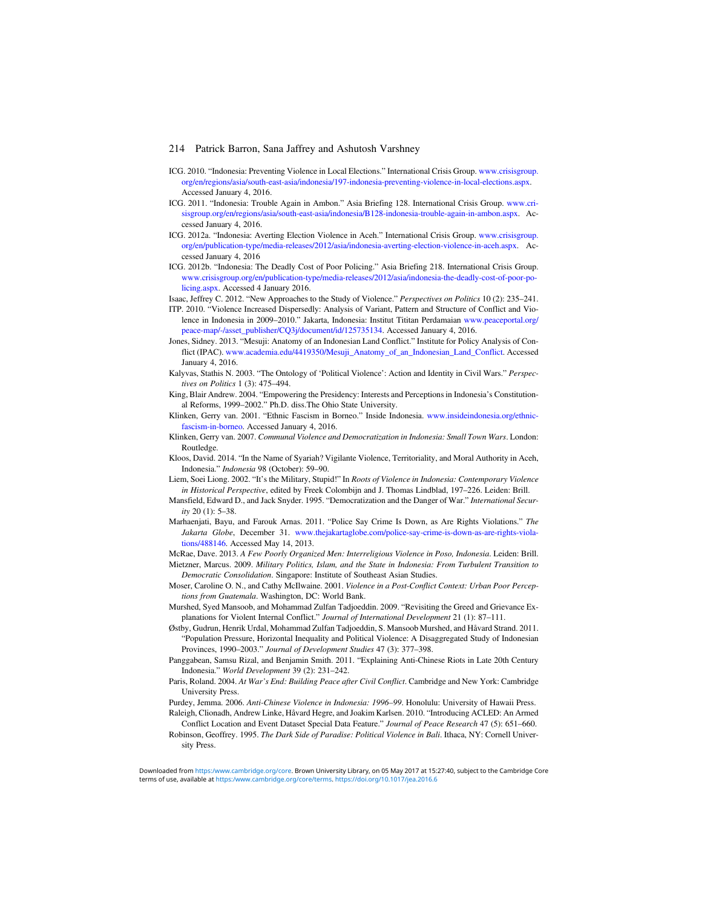- ICG. 2010. "Indonesia: Preventing Violence in Local Elections." International Crisis Group. [www.crisisgroup.](http://www.crisisgroup.org/en/regions/asia/south-east-asia/indonesia/197-indonesia-preventing-violence-in-local-elections.aspx) [org/en/regions/asia/south-east-asia/indonesia/197-indonesia-preventing-violence-in-local-elections.aspx](http://www.crisisgroup.org/en/regions/asia/south-east-asia/indonesia/197-indonesia-preventing-violence-in-local-elections.aspx). Accessed January 4, 2016.
- ICG. 2011. "Indonesia: Trouble Again in Ambon." Asia Briefing 128. International Crisis Group. [www.cri](http://www.crisisgroup.org/en/regions/asia/south-east-asia/indonesia/B128-indonesia-trouble-again-in-ambon.aspx)[sisgroup.org/en/regions/asia/south-east-asia/indonesia/B128-indonesia-trouble-again-in-ambon.aspx.](http://www.crisisgroup.org/en/regions/asia/south-east-asia/indonesia/B128-indonesia-trouble-again-in-ambon.aspx) Accessed January 4, 2016.
- ICG. 2012a. "Indonesia: Averting Election Violence in Aceh." International Crisis Group. [www.crisisgroup.](http://www.crisisgroup.org/en/publication-type/media-releases/2012/asia/indonesia-averting-election-violence-in-aceh.aspx) [org/en/publication-type/media-releases/2012/asia/indonesia-averting-election-violence-in-aceh.aspx.](http://www.crisisgroup.org/en/publication-type/media-releases/2012/asia/indonesia-averting-election-violence-in-aceh.aspx) Accessed January 4, 2016
- ICG. 2012b. "Indonesia: The Deadly Cost of Poor Policing." Asia Briefing 218. International Crisis Group. [www.crisisgroup.org/en/publication-type/media-releases/2012/asia/indonesia-the-deadly-cost-of-poor-po](http://www.crisisgroup.org/en/publication-type/media-releases/2012/asia/indonesia-the-deadly-cost-of-poor-policing.aspx)[licing.aspx](http://www.crisisgroup.org/en/publication-type/media-releases/2012/asia/indonesia-the-deadly-cost-of-poor-policing.aspx). Accessed 4 January 2016.
- Isaac, Jeffrey C. 2012. "New Approaches to the Study of Violence." Perspectives on Politics 10 (2): 235–241.
- ITP. 2010. "Violence Increased Dispersedly: Analysis of Variant, Pattern and Structure of Conflict and Violence in Indonesia in 2009–2010." Jakarta, Indonesia: Institut Tititan Perdamaian [www.peaceportal.org/](http://www.peaceportal.org/peace-map/-/asset_publisher/CQ3j/document/id/125735134) [peace-map/-/asset\\_publisher/CQ3j/document/id/125735134](http://www.peaceportal.org/peace-map/-/asset_publisher/CQ3j/document/id/125735134). Accessed January 4, 2016.
- Jones, Sidney. 2013. "Mesuji: Anatomy of an Indonesian Land Conflict." Institute for Policy Analysis of Conflict (IPAC). [www.academia.edu/4419350/Mesuji\\_Anatomy\\_of\\_an\\_Indonesian\\_Land\\_Conflict.](http://www.academia.edu/4419350/Mesuji_Anatomy_of_an_Indonesian_Land_Conflict) Accessed January 4, 2016.
- Kalyvas, Stathis N. 2003. "The Ontology of 'Political Violence': Action and Identity in Civil Wars." Perspectives on Politics 1 (3): 475–494.
- King, Blair Andrew. 2004. "Empowering the Presidency: Interests and Perceptions in Indonesia's Constitutional Reforms, 1999–2002." Ph.D. diss.The Ohio State University.
- Klinken, Gerry van. 2001. "Ethnic Fascism in Borneo." Inside Indonesia. [www.insideindonesia.org/ethnic](http://www.insideindonesia.org/ethnic-fascism-in-borneo)[fascism-in-borneo.](http://www.insideindonesia.org/ethnic-fascism-in-borneo) Accessed January 4, 2016.
- Klinken, Gerry van. 2007. Communal Violence and Democratization in Indonesia: Small Town Wars. London: Routledge.
- Kloos, David. 2014. "In the Name of Syariah? Vigilante Violence, Territoriality, and Moral Authority in Aceh, Indonesia." Indonesia 98 (October): 59–90.
- Liem, Soei Liong. 2002. "It's the Military, Stupid!" In Roots of Violence in Indonesia: Contemporary Violence in Historical Perspective, edited by Freek Colombijn and J. Thomas Lindblad, 197–226. Leiden: Brill.
- Mansfield, Edward D., and Jack Snyder. 1995. "Democratization and the Danger of War." International Security 20 (1): 5–38.
- Marhaenjati, Bayu, and Farouk Arnas. 2011. "Police Say Crime Is Down, as Are Rights Violations." The Jakarta Globe, December 31. [www.thejakartaglobe.com/police-say-crime-is-down-as-are-rights-viola](http://www.thejakartaglobe.com/police-say-crime-is-down-as-are-rights-violations/488146)[tions/488146.](http://www.thejakartaglobe.com/police-say-crime-is-down-as-are-rights-violations/488146) Accessed May 14, 2013.

McRae, Dave. 2013. A Few Poorly Organized Men: Interreligious Violence in Poso, Indonesia. Leiden: Brill.

- Mietzner, Marcus. 2009. Military Politics, Islam, and the State in Indonesia: From Turbulent Transition to Democratic Consolidation. Singapore: Institute of Southeast Asian Studies.
- Moser, Caroline O. N., and Cathy McIlwaine. 2001. Violence in a Post-Conflict Context: Urban Poor Perceptions from Guatemala. Washington, DC: World Bank.
- Murshed, Syed Mansoob, and Mohammad Zulfan Tadjoeddin. 2009. "Revisiting the Greed and Grievance Explanations for Violent Internal Conflict." Journal of International Development 21 (1): 87–111.
- Østby, Gudrun, Henrik Urdal, Mohammad Zulfan Tadjoeddin, S. Mansoob Murshed, and Håvard Strand. 2011. "Population Pressure, Horizontal Inequality and Political Violence: A Disaggregated Study of Indonesian Provinces, 1990–2003." Journal of Development Studies 47 (3): 377–398.
- Panggabean, Samsu Rizal, and Benjamin Smith. 2011. "Explaining Anti-Chinese Riots in Late 20th Century Indonesia." World Development 39 (2): 231–242.
- Paris, Roland. 2004. At War's End: Building Peace after Civil Conflict. Cambridge and New York: Cambridge University Press.
- Purdey, Jemma. 2006. Anti-Chinese Violence in Indonesia: 1996–99. Honolulu: University of Hawaii Press.
- Raleigh, Clionadh, Andrew Linke, Håvard Hegre, and Joakim Karlsen. 2010. "Introducing ACLED: An Armed Conflict Location and Event Dataset Special Data Feature." Journal of Peace Research 47 (5): 651–660.
- Robinson, Geoffrey. 1995. The Dark Side of Paradise: Political Violence in Bali. Ithaca, NY: Cornell University Press.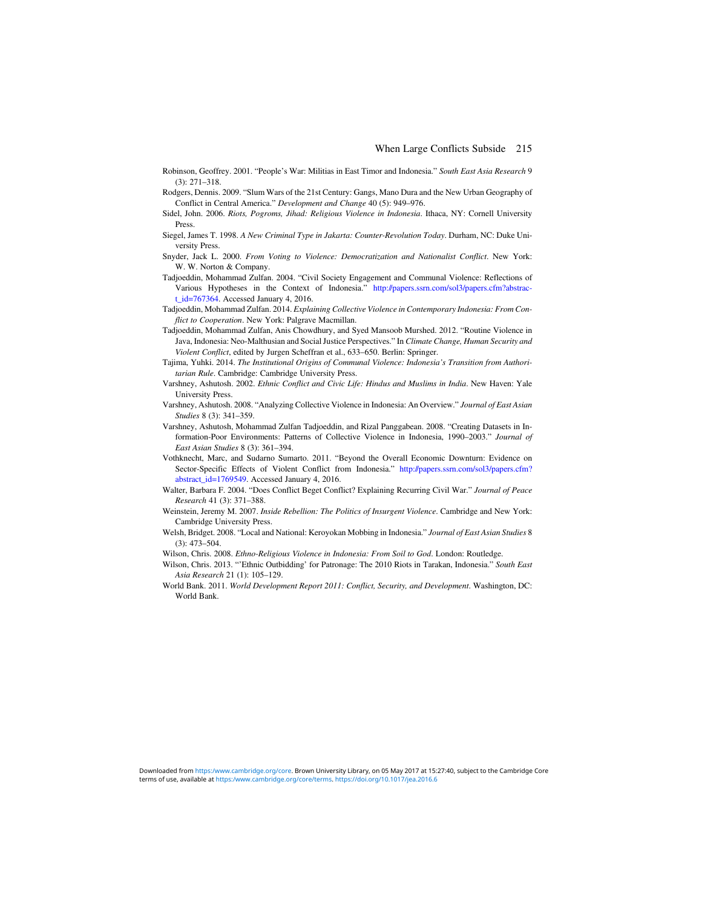Robinson, Geoffrey. 2001. "People's War: Militias in East Timor and Indonesia." South East Asia Research 9 (3): 271–318.

Rodgers, Dennis. 2009. "Slum Wars of the 21st Century: Gangs, Mano Dura and the New Urban Geography of Conflict in Central America." Development and Change 40 (5): 949–976.

- Sidel, John. 2006. Riots, Pogroms, Jihad: Religious Violence in Indonesia. Ithaca, NY: Cornell University Press.
- Siegel, James T. 1998. A New Criminal Type in Jakarta: Counter-Revolution Today. Durham, NC: Duke University Press.
- Snyder, Jack L. 2000. From Voting to Violence: Democratization and Nationalist Conflict. New York: W. W. Norton & Company.
- Tadjoeddin, Mohammad Zulfan. 2004. "Civil Society Engagement and Communal Violence: Reflections of Various Hypotheses in the Context of Indonesia." [http://papers.ssrn.com/sol3/papers.cfm?abstrac](http://papers.ssrn.com/sol3/papers.cfm?abstract_id=767364)[t\\_id=767364.](http://papers.ssrn.com/sol3/papers.cfm?abstract_id=767364) Accessed January 4, 2016.
- Tadjoeddin, Mohammad Zulfan. 2014. Explaining Collective Violence in Contemporary Indonesia: From Conflict to Cooperation. New York: Palgrave Macmillan.
- Tadjoeddin, Mohammad Zulfan, Anis Chowdhury, and Syed Mansoob Murshed. 2012. "Routine Violence in Java, Indonesia: Neo-Malthusian and Social Justice Perspectives." In Climate Change, Human Security and Violent Conflict, edited by Jurgen Scheffran et al., 633–650. Berlin: Springer.
- Tajima, Yuhki. 2014. The Institutional Origins of Communal Violence: Indonesia's Transition from Authoritarian Rule. Cambridge: Cambridge University Press.
- Varshney, Ashutosh. 2002. Ethnic Conflict and Civic Life: Hindus and Muslims in India. New Haven: Yale University Press.
- Varshney, Ashutosh. 2008. "Analyzing Collective Violence in Indonesia: An Overview." Journal of East Asian Studies 8 (3): 341–359.
- Varshney, Ashutosh, Mohammad Zulfan Tadjoeddin, and Rizal Panggabean. 2008. "Creating Datasets in Information-Poor Environments: Patterns of Collective Violence in Indonesia, 1990–2003." Journal of East Asian Studies 8 (3): 361–394.
- Vothknecht, Marc, and Sudarno Sumarto. 2011. "Beyond the Overall Economic Downturn: Evidence on Sector-Specific Effects of Violent Conflict from Indonesia." [http://papers.ssrn.com/sol3/papers.cfm?](http://papers.ssrn.com/sol3/papers.cfm?abstract_id=1769549) [abstract\\_id=1769549.](http://papers.ssrn.com/sol3/papers.cfm?abstract_id=1769549) Accessed January 4, 2016.
- Walter, Barbara F. 2004. "Does Conflict Beget Conflict? Explaining Recurring Civil War." Journal of Peace Research 41 (3): 371–388.
- Weinstein, Jeremy M. 2007. Inside Rebellion: The Politics of Insurgent Violence. Cambridge and New York: Cambridge University Press.
- Welsh, Bridget. 2008. "Local and National: Keroyokan Mobbing in Indonesia." Journal of East Asian Studies 8 (3): 473–504.
- Wilson, Chris. 2008. Ethno-Religious Violence in Indonesia: From Soil to God. London: Routledge.
- Wilson, Chris. 2013. "'Ethnic Outbidding' for Patronage: The 2010 Riots in Tarakan, Indonesia." South East Asia Research 21 (1): 105–129.
- World Bank. 2011. World Development Report 2011: Conflict, Security, and Development. Washington, DC: World Bank.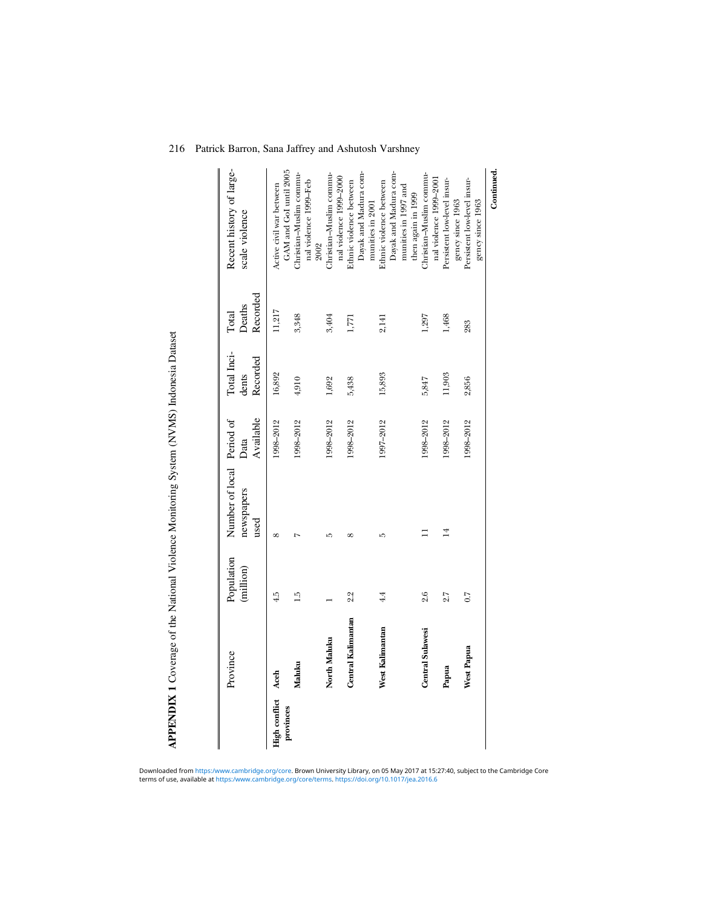|                                 | Province                | Population<br>(million) | Number of local Period of<br>newspapers<br>used | Available<br>Data | Total Inci-<br>Recorded<br>dents | Recorded<br>Deaths<br>Total | Recent history of large-<br>scale violence                            |
|---------------------------------|-------------------------|-------------------------|-------------------------------------------------|-------------------|----------------------------------|-----------------------------|-----------------------------------------------------------------------|
| High conflict Aceh<br>provinces |                         | 4.5                     | $^{\circ}$                                      | 1998-2012         | 16,892                           | 11,217                      | GAM and GoI until 2005<br>Active civil war between                    |
|                                 | Maluku                  | $\ddot{1}$              | $\overline{z}$                                  | 1998-2012         | 4,910                            | 3,348                       | Christian-Muslim commu-<br>nal violence 1999-Feb<br>2002              |
|                                 | North Maluku            |                         | ĩΩ,                                             | 1998-2012         | 1,692                            | 3,404                       | Christian-Muslim commu-<br>nal violence 1999-2000                     |
|                                 | Central Kalimantan      | 2.2                     | $\infty$                                        | 1998-2012         | 5,438                            | 1,771                       | Dayak and Madura com-<br>Ethnic violence between<br>munities in 2001  |
|                                 | West Kalimantan         | 4.4                     | ĩΟ,                                             | 1997-2012         | 15,893                           | 2,141                       | Dayak and Madura com-<br>Ethnic violence between                      |
|                                 | <b>Central Sulawesi</b> | 2.6                     |                                                 | 1998-2012         | 5,847                            | 1,297                       | Christian-Muslim commu-<br>munities in 1997 and<br>then again in 1999 |
|                                 | Papua                   | 2.7                     | 14                                              | 1998-2012         | 11,903                           | 1,468                       | Persistent low-level insur-<br>nal violence 1999-2001                 |
|                                 | West Papua              | $\ddot{c}$ .0           |                                                 | 1998-2012         | 2,856                            | 283                         | Persistent low-level insur-<br>gency since 1963<br>gency since 1963   |
|                                 |                         |                         |                                                 |                   |                                  |                             | Continued.                                                            |

APPENDIX 1 Coverage of the National Violence Monitoring System (NVMS) Indonesia Dataset

APPENDIX 1 Coverage of the National Violence Monitoring System (NVMS) Indonesia Dataset

# 216 Patrick Barron, Sana Jaffrey and Ashutosh Varshney

Downloaded from https:/www.cambridge.org/core. Brown University Library, on 05 May 2017 at 15:27:40, subject to the Cambridge Core<br>terms of use, available at https:/www.cambridge.org/core/terms. https://doi.org/10.1017/jea